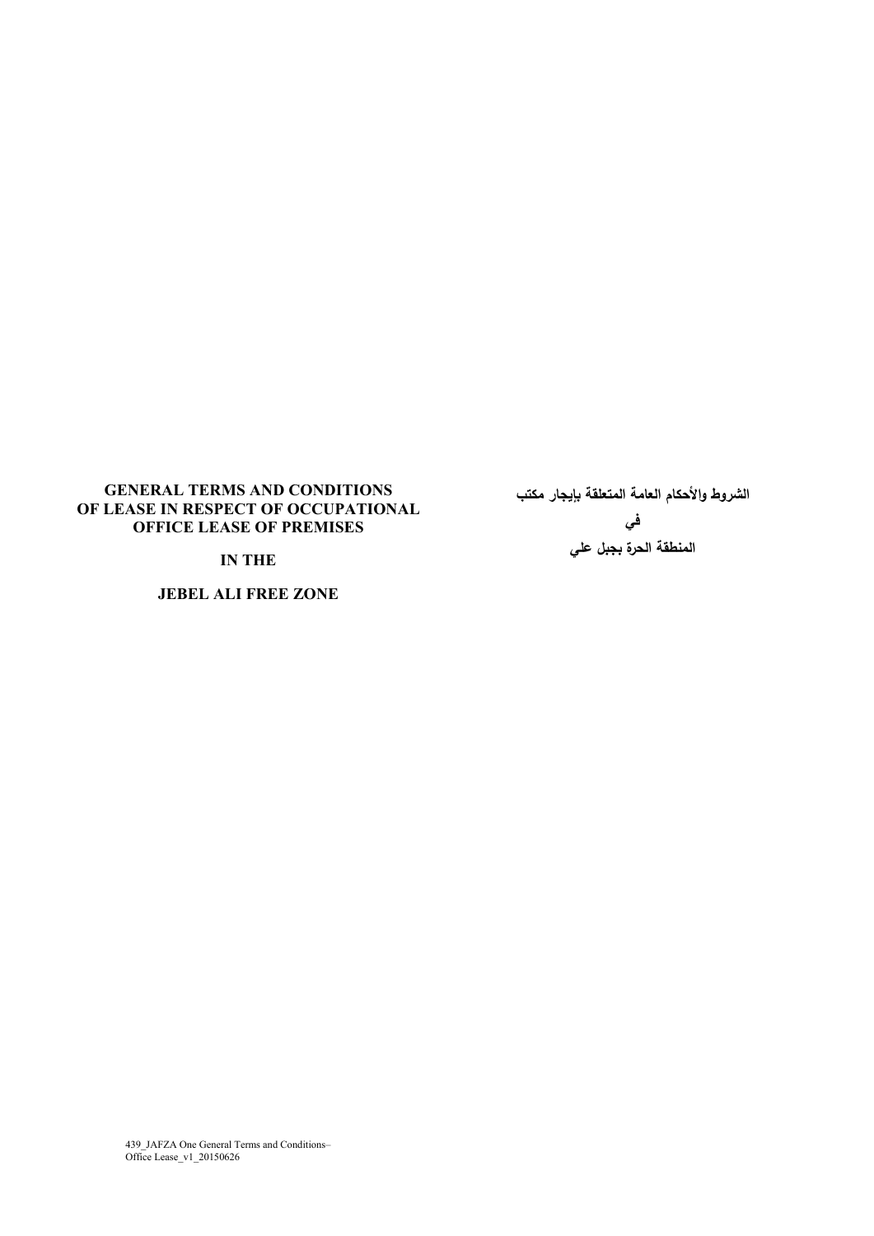### **GENERAL TERMS AND CONDITIONS OF LEASE IN RESPECT OF OCCUPATIONAL OFFICE LEASE OF PREMISES**

**IN THE** 

**JEBEL ALI FREE ZONE**

**الشروط والأحكام العامة المتعلقة بإيجار مكتب في المنطقة الحرة بجبل علي** 

439 JAFZA One General Terms and Conditions– Office Lease\_v1\_20150626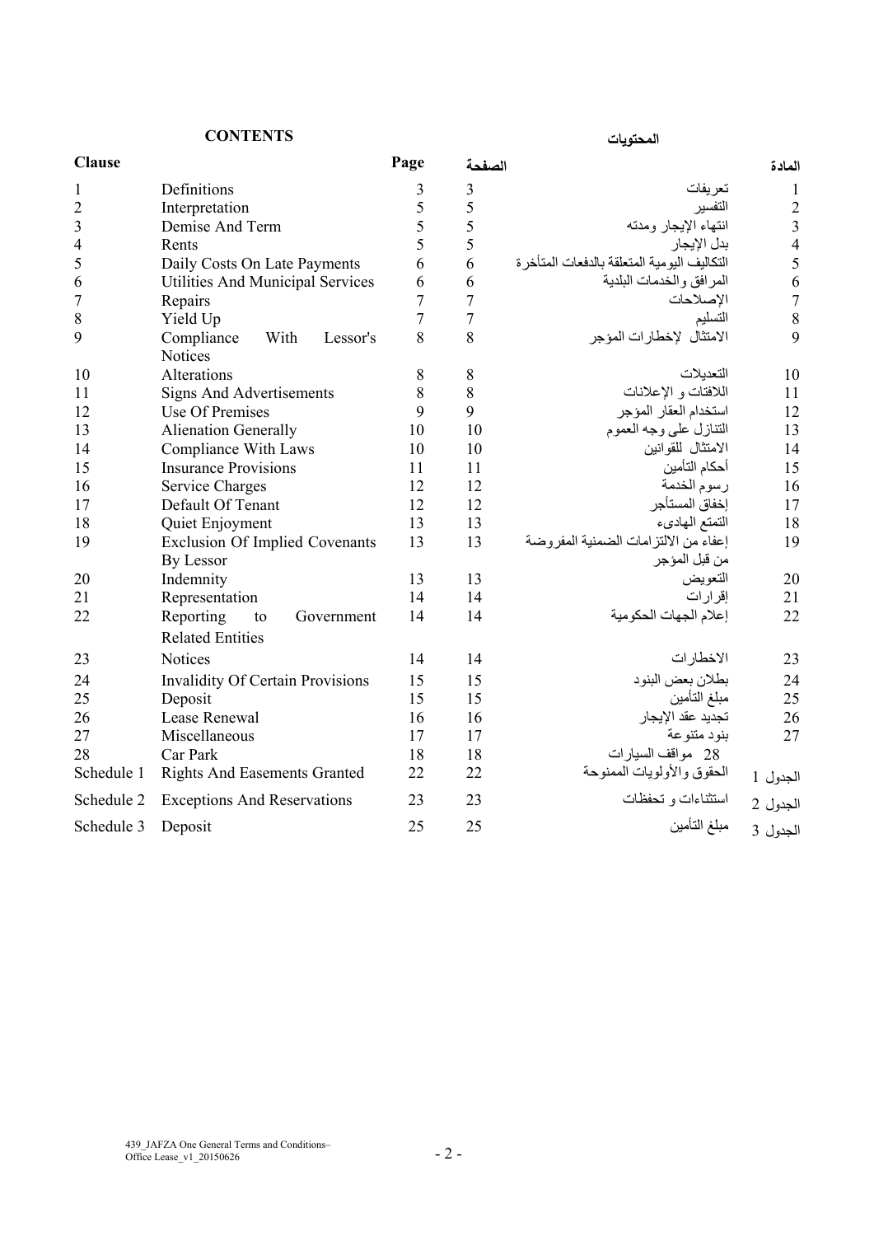**المحتويات CONTENTS**

| المحته يات |  |  |  |
|------------|--|--|--|
|------------|--|--|--|

| <b>Clause</b>           |                                                    | Page           | الصفحة         |                                                         | المادة         |
|-------------------------|----------------------------------------------------|----------------|----------------|---------------------------------------------------------|----------------|
| $\mathbf{1}$            | Definitions                                        | $\mathfrak{Z}$ | $\mathfrak{Z}$ | تعريفات                                                 | 1              |
| $\overline{c}$          | Interpretation                                     | 5              | 5              | التفسير                                                 | $\overline{2}$ |
| $\overline{\mathbf{3}}$ | Demise And Term                                    | 5              | 5              | انتهاء الإيجار ومدته                                    | $\overline{3}$ |
| 4                       | Rents                                              | 5              | 5              | بدل الإيجار                                             | $\overline{4}$ |
| 5                       | Daily Costs On Late Payments                       | 6              | 6              | التكاليف اليو مية المتعلقة بالدفعات المتأخر ة           | 5              |
| 6                       | Utilities And Municipal Services                   | 6              | 6              | المرافق والخدمات البلدية                                | 6              |
| $\overline{7}$          | Repairs                                            | $\overline{7}$ | $\overline{7}$ | الإصلاحات                                               | $\overline{7}$ |
| 8                       | Yield Up                                           | $\overline{7}$ | $\overline{7}$ | التسليم                                                 | 8              |
| 9                       | Compliance<br>With<br>Lessor's<br><b>Notices</b>   | 8              | 8              | الامتثال لإخطارات المؤجر                                | 9              |
| 10                      | Alterations                                        | 8              | 8              | التعدبلات                                               | 10             |
| 11                      | <b>Signs And Advertisements</b>                    | 8              | 8              | اللافتات و الإعلانات                                    | 11             |
| 12                      | Use Of Premises                                    | 9              | 9              | استخدام العقار المؤجر                                   | 12             |
| 13                      | <b>Alienation Generally</b>                        | 10             | 10             | التنازل علىيوجه العموم                                  | 13             |
| 14                      | <b>Compliance With Laws</b>                        | 10             | 10             | الامتثال للقوانين                                       | 14             |
| 15                      | <b>Insurance Provisions</b>                        | 11             | 11             | أحكام التأمين                                           | 15             |
| 16                      | <b>Service Charges</b>                             | 12             | 12             | رسوم الخدمة                                             | 16             |
| 17                      | Default Of Tenant                                  | 12             | 12             | إخفاق المستأجر                                          | 17             |
| 18                      | Quiet Enjoyment                                    | 13             | 13             | التمتع الهادىء                                          | 18             |
| 19                      | <b>Exclusion Of Implied Covenants</b><br>By Lessor | 13             | 13             | إعفاء من الالتز امات الضمنية المفر وضة<br>من قبل المؤجر | 19             |
| 20                      | Indemnity                                          | 13             | 13             | التعويض                                                 | 20             |
| 21                      | Representation                                     | 14             | 14             | إقرارات                                                 | 21             |
| 22                      | Reporting<br>to<br>Government                      | 14             | 14             | إعلام الجهات الحكومية                                   | 22             |
|                         | <b>Related Entities</b>                            |                |                |                                                         |                |
| 23                      | <b>Notices</b>                                     | 14             | 14             | الاخطارات                                               | 23             |
| 24                      | <b>Invalidity Of Certain Provisions</b>            | 15             | 15             | بطلان بعض البنود                                        | 24             |
| 25                      | Deposit                                            | 15             | 15             | مبلغ التأمين                                            | 25             |
| 26                      | Lease Renewal                                      | 16             | 16             | تجديد عقد الإيجار                                       | 26             |
| 27                      | Miscellaneous                                      | 17             | 17             | بنو د متنو عة                                           | 27             |
| 28                      | Car Park                                           | 18             | 18             | 28 مواقف السيارات                                       |                |
| Schedule 1              | <b>Rights And Easements Granted</b>                | 22             | 22             | الحقوق والأولويات الممنوحة                              | الجدول 1       |
| Schedule 2              | <b>Exceptions And Reservations</b>                 | 23             | 23             | استثناءات و تحفظات                                      | الجدول 2       |
| Schedule 3              | Deposit                                            | 25             | 25             | مبلغ التأمين                                            | الجدول 3       |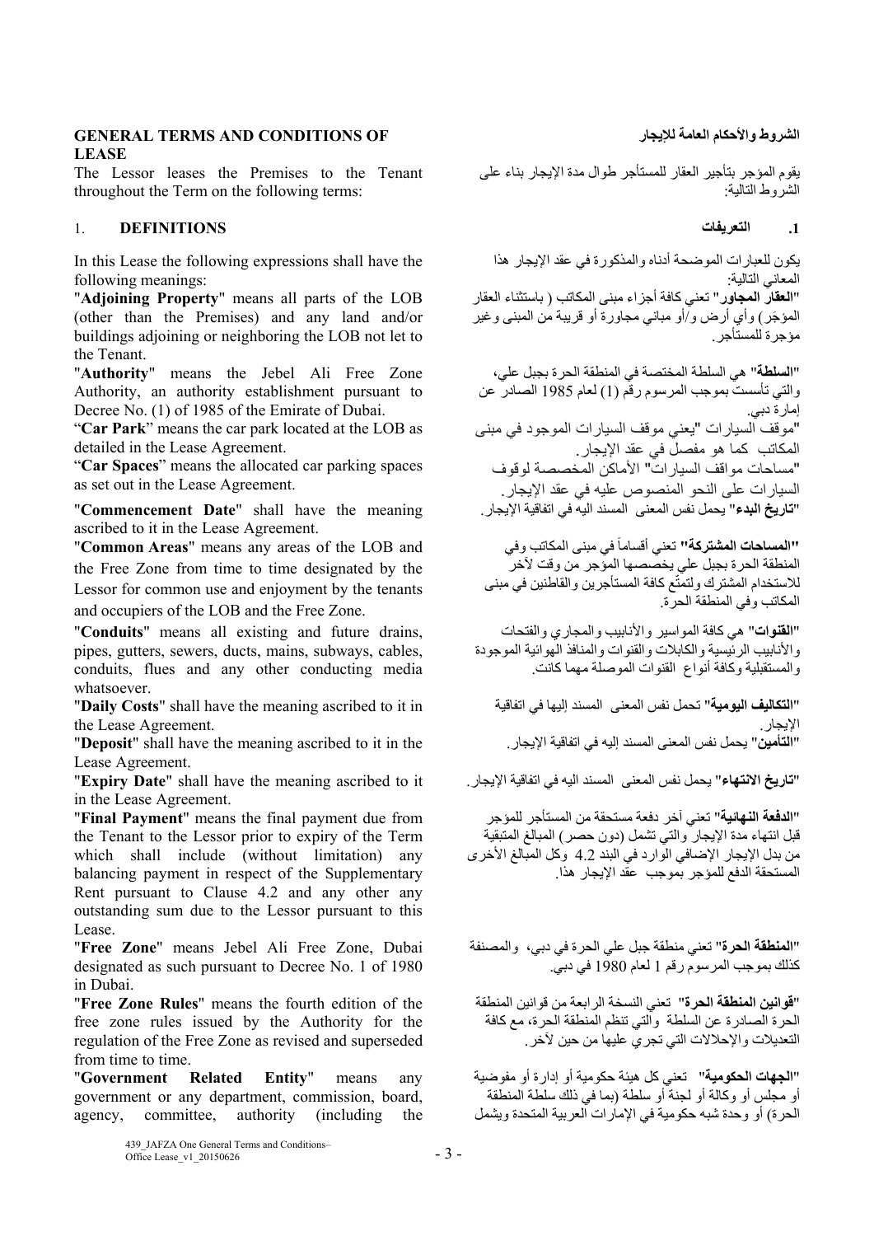# **GENERAL TERMS AND CONDITIONS OF لإليجار العامة واألحكام الشروط LEASE**

The Lessor leases the Premises to the Tenant throughout the Term on the following terms:

# **.1 التعريفات DEFINITIONS** 1.

In this Lease the following expressions shall have the following meanings:

"**Adjoining Property**" means all parts of the LOB (other than the Premises) and any land and/or buildings adjoining or neighboring the LOB not let to the Tenant.

"**Authority**" means the Jebel Ali Free Zone Authority, an authority establishment pursuant to Decree No. (1) of 1985 of the Emirate of Dubai.

"**Car Park**" means the car park located at the LOB as detailed in the Lease Agreement.

"**Car Spaces**" means the allocated car parking spaces as set out in the Lease Agreement.

"**Commencement Date**" shall have the meaning ascribed to it in the Lease Agreement.

"**Common Areas**" means any areas of the LOB and the Free Zone from time to time designated by the Lessor for common use and enjoyment by the tenants and occupiers of the LOB and the Free Zone.

"**Conduits**" means all existing and future drains, pipes, gutters, sewers, ducts, mains, subways, cables, conduits, flues and any other conducting media whatsoever.

"**Daily Costs**" shall have the meaning ascribed to it in the Lease Agreement.

"**Deposit**" shall have the meaning ascribed to it in the Lease Agreement.

"**تاريخ االنتھاء**" يحمل نفس المعنى المسند اليه في اتفاقية اإليجار. it to ascribed meaning the have shall" **Date Expiry**" in the Lease Agreement.

"**Final Payment**" means the final payment due from the Tenant to the Lessor prior to expiry of the Term which shall include (without limitation) any balancing payment in respect of the Supplementary Rent pursuant to Clause 4.2 and any other any outstanding sum due to the Lessor pursuant to this Lease.

"**Free Zone**" means Jebel Ali Free Zone, Dubai designated as such pursuant to Decree No. 1 of 1980 in Dubai.

"**Free Zone Rules**" means the fourth edition of the free zone rules issued by the Authority for the regulation of the Free Zone as revised and superseded from time to time.

"**Government Related Entity**" means any government or any department, commission, board, agency, committee, authority (including the

> 439\_JAFZA One General Terms and Conditions–  $\frac{435}{201}$  Office Lease\_v1\_20150626 - 3 -

يقوم المؤجر بتأجير العقار للمستأجر طوال مدة اإليجار بناء على الشروط التالية:

يكون للعبارات الموضحة أدناه والمذكورة في عقد اإليجار ھذا المعاني التالية: "**العقار المجاور**" تعني كافة أجزاء مبنى المكاتب ( باستثناء العقار َ المؤجر) وأي أرض و/أو مباني مجاورة أو قريبة من المبنى وغير مؤجرة للمستأجر.

"**السلطة**" ھي السلطة المختصة في المنطقة الحرة بجبل علي، والتي تأسست بموجب المرسوم رقم (1) لعام 1985 الصادر عن إمارة دبي. "موقف السيارات "يعني موقف السيارات الموجود في مبنى المكاتب كما ھو مفصل في عقد اإليجار. "مساحات مواقف السيار ات" الأماكن المخصصة لوقوف السيار ات على النحو المنصوص عليه في عقد الإيجار .<br>"**تاريخ البدء**" بحمل نفس المعنى المسند اليه في اتفاقية الإيجار .

**"'المساحات المشتركة''** تعني أقساماً في مبنى المكاتب وفي المنطقة الحرة بجبل علي يخصصھا المؤجر من وقت آلخر للاستخدام المشترك ولتمتّع كافة المستأجرين والقاطنين في مبنى المكاتب وفي المنطقة الحرة.

"**القنوات**" ھي كافة المواسير واألنابيب والمجاري والفتحات والأنابيب الرئيسية والكابلات والقنوات والمنافذ الهوائية الموجودة والمستقبلية وكافة أنواع القنوات الموصلة مھما كانت.

"**التكاليف اليومية**" تحمل نفس المعنى المسند إليھا في اتفاقية الإيجار <sub>.</sub><br>"ا**لتأمين"** يحمل نفس المعنى المسند إليه في اتفاقية الإيجار .

"**الدفعة النھائية**" تعني آخر دفعة مستحقة من المستأجر للمؤجر قبل انتھاء مدة اإليجار والتي تشمل (دون حصر) المبالغ المتبقية من بدل الإيجار الإضافي الوارد في البند 4.2 وكل المبالغ الأخرى المستحقة الدفع للمؤجر بموجب عقد اإليجار ھذا.

"**المنطقة الحرة**" تعني منطقة جبل علي الحرة في دبي، والمصنفة كذلك بموجب المرسوم رقم 1 لعام 1980 في دبي.

"**قوانين المنطقة الحرة**" تعني النسخة الرابعة من قوانين المنطقة الحرة الصادرة عن السلطة والتي تنظم المنطقة الحرة، مع كافة التعديالت واإلحالالت التي تجري عليھا من حين آلخر.

"**الجھات الحكومية**" تعني كل ھيئة حكومية أو إدارة أو مفوضية أو مجلس أو وكالة أو لجنة أو سلطة (بما في ذلك سلطة المنطقة الحرة) أو وحدة شبه حكومية في اإلمارات العربية المتحدة ويشمل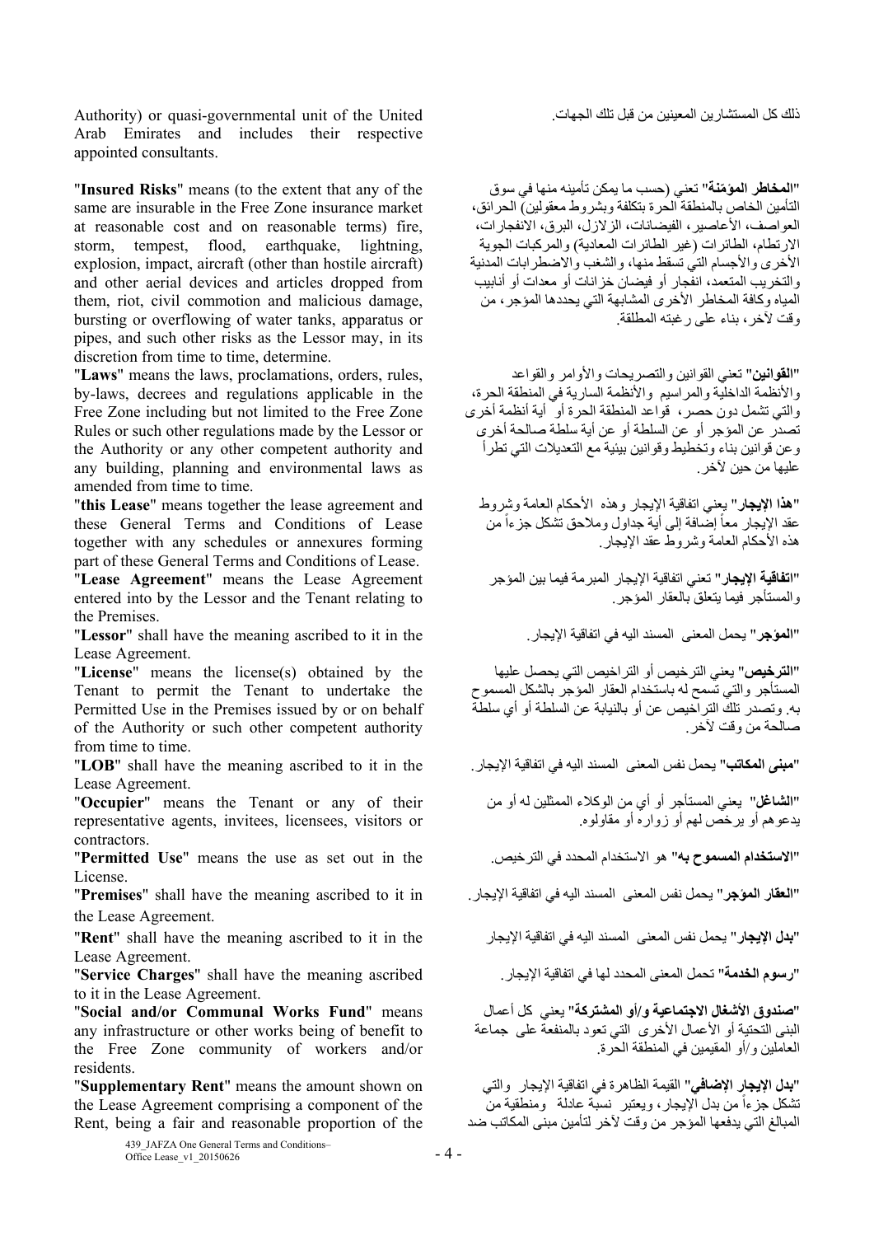ذلك كل المستشارين المعينين من قبل تلك الجھات. United the of unit governmental-quasi or) Authority Arab Emirates and includes their respective appointed consultants.

"**Insured Risks**" means (to the extent that any of the same are insurable in the Free Zone insurance market at reasonable cost and on reasonable terms) fire, storm, tempest, flood, earthquake, lightning, explosion, impact, aircraft (other than hostile aircraft) and other aerial devices and articles dropped from them, riot, civil commotion and malicious damage, bursting or overflowing of water tanks, apparatus or pipes, and such other risks as the Lessor may, in its discretion from time to time, determine.

"**Laws**" means the laws, proclamations, orders, rules, by-laws, decrees and regulations applicable in the Free Zone including but not limited to the Free Zone Rules or such other regulations made by the Lessor or the Authority or any other competent authority and any building, planning and environmental laws as amended from time to time.

"**this Lease**" means together the lease agreement and these General Terms and Conditions of Lease together with any schedules or annexures forming part of these General Terms and Conditions of Lease.

"**Lease Agreement**" means the Lease Agreement entered into by the Lessor and the Tenant relating to the Premises.

"**Lessor**" shall have the meaning ascribed to it in the .اإليجار اتفاقية في اليه المسند المعنى يحمل" **المؤجر**" Lease Agreement.

"**License**" means the license(s) obtained by the Tenant to permit the Tenant to undertake the Permitted Use in the Premises issued by or on behalf of the Authority or such other competent authority from time to time.

"**مبنى المكاتب**" يحمل نفس المعنى المسند اليه في اتفاقية الإيجار. "LOB" shall have the meaning ascribed to it in the Lease Agreement.

"**Occupier**" means the Tenant or any of their representative agents, invitees, licensees, visitors or contractors.

"**Permitted Use**" means the use as set out in the .الترخيص في المحدد االستخدام ھو" **به المسموح االستخدام**" License.

the Lease Agreement.

"**بدل الإيجار**" يحمل نفس المعنى المسند اليه في اتفاقية الإيجار "Rent" shall have the meaning ascribed to it in the Lease Agreement.

"**رسوم الخدمة**" تحمل المعنى المحدد لھا في اتفاقية اإليجار. ascribed meaning the have shall" **Charges Service**" to it in the Lease Agreement.

"**Social and/or Communal Works Fund**" means any infrastructure or other works being of benefit to the Free Zone community of workers and/or residents.

"**Supplementary Rent**" means the amount shown on the Lease Agreement comprising a component of the Rent, being a fair and reasonable proportion of the

**المؤمنة**" تعني (حسب ما يمكن تأمينه منھا في سوق "**المخاطر ّ** التأمين الخاص بالمنطقة الحرة بتكلفة وبشروط معقولين) الحرائق، العواصف، الأعاصير ، الفيضانات، الزلازل، البرق، الانفجارات، االرتطام، الطائرات (غير الطائرات المعادية) والمركبات الجوية الأخرى والأجسام التي تسقط منها، والشغب والاضطرابات المدنية والتخريب المتعمد، انفجار أو فيضان خزانات أو معدات أو أنابيب المياه وكافة المخاطر األخرى المشابھة التي يحددھا المؤجر، من وقت آلخر، بناء على رغبته المطلقة.

"**القوانين**" تعني القوانين والتصريحات واألوامر والقواعد والأنظمة الداخلية والمراسيم والأنظمة السارية في المنطقة الحرة، والتي تشمل دون حصر، قواعد المنطقة الحرة أو أية أنظمة أخرى تصدر عن المؤجر أو عن السلطة أو عن أية سلطة صالحة أخرى وعن قوانين بناء وتخطيط وقوانين بيئية مع التعديالت التي تطرأ عليھا من حين آلخر.

ً "**ھذا اإليجار**" يعني اتفاقية اإليجار وھذه األحكام العامة وشروط عقد الإيجار معاً إضَّـافة إلى أية جداول وملاحق تشكل جز ءاً من هذه الأحكام العامة وشروط عقد الإيجار

"**اتفاقية اإليجار**" تعني اتفاقية اإليجار المبرمة فيما بين المؤجر والمستأجر فيما يتعلق بالعقار المؤجر.

"**الترخيص**" يعني الترخيص أو التراخيص التي يحصل عليھا المستأجر والتي تسمح له باستخدام العقار المؤجر بالشكل المسموح به. وتصدر تلك التراخيص عن أو بالنيابة عن السلطة أو أي سلطة صالحة من وقت آلخر.

"**الشاغل**" يعني المستأجر أو أي من الوكالء الممثلين له أو من يدعوھم أو يرخص لھم أو زواره أو مقاولوه.

"**العقار المؤجر**" يحمل نفس المعنى المسند اليه في اتفاقية اإليجار. in it to ascribed meaning the have shall" **Premises**"

"**صندوق األشغال االجتماعية و/أو المشتركة**" يعني كل أعمال البني التحتية أو الأعمال الأخرى التي تعود بالمنفعة على جماعة العاملين و/أو المقيمين في المنطقة الحرة.

"**بدل اإليجار اإلضافي**" القيمة الظاھرة في اتفاقية اإليجار والتي تشكل جزءاً من بدل الإيجار ، ويعتبر نسبّة عادلة ومنطقية من المبالغ التي يدفعھا المؤجر من وقت آلخر لتأمين مبنى المكاتب ضد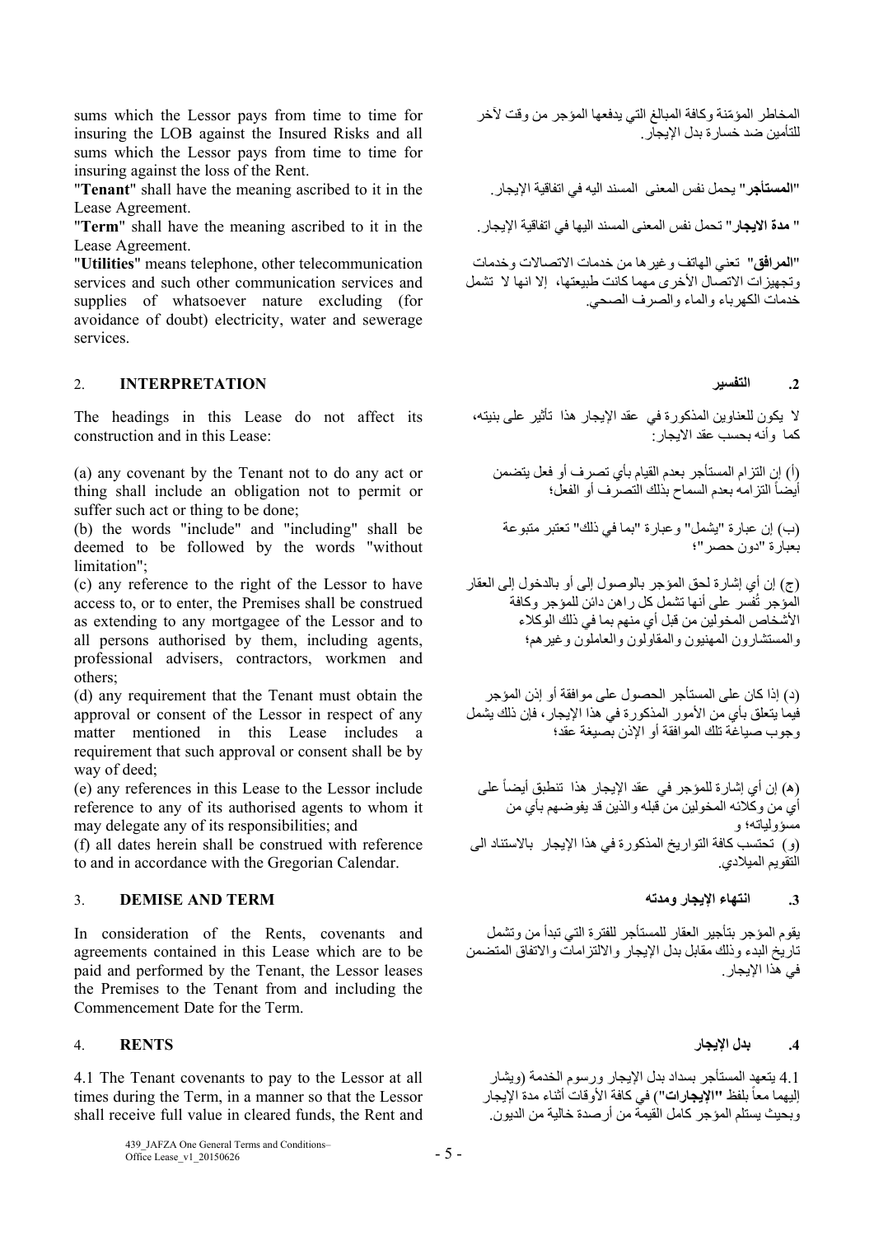sums which the Lessor pays from time to time for insuring the LOB against the Insured Risks and all sums which the Lessor pays from time to time for insuring against the loss of the Rent.

"**Tenant**" shall have the meaning ascribed to it in the .اإليجار اتفاقية في اليه المسند المعنى نفس يحمل" **المستأجر**" Lease Agreement.

" **مدة االيجار**" تحمل نفس المعنى المسند اليھا في اتفاقية اإليجار. the in it to ascribed meaning the have shall" **Term**" Lease Agreement.

"**Utilities**" means telephone, other telecommunication services and such other communication services and supplies of whatsoever nature excluding (for avoidance of doubt) electricity, water and sewerage services.

# **.2 التفسير INTERPRETATION** 2.

The headings in this Lease do not affect its construction and in this Lease:

(a) any covenant by the Tenant not to do any act or thing shall include an obligation not to permit or suffer such act or thing to be done;

(b) the words "include" and "including" shall be deemed to be followed by the words "without limitation";

(c) any reference to the right of the Lessor to have access to, or to enter, the Premises shall be construed as extending to any mortgagee of the Lessor and to all persons authorised by them, including agents, professional advisers, contractors, workmen and others;

(d) any requirement that the Tenant must obtain the approval or consent of the Lessor in respect of any matter mentioned in this Lease includes a requirement that such approval or consent shall be by way of deed;

(e) any references in this Lease to the Lessor include reference to any of its authorised agents to whom it may delegate any of its responsibilities; and

(f) all dates herein shall be construed with reference to and in accordance with the Gregorian Calendar.

# **.3 انتھاء اإليجار ومدته TERM AND DEMISE** 3.

In consideration of the Rents, covenants and agreements contained in this Lease which are to be paid and performed by the Tenant, the Lessor leases the Premises to the Tenant from and including the Commencement Date for the Term.

4.1 The Tenant covenants to pay to the Lessor at all times during the Term, in a manner so that the Lessor shall receive full value in cleared funds, the Rent and المخاطر المؤمّنة وكافة المبالغ التي يدفعها المؤجر من وقت لأخر<br>... للتأمين ضد خسارة بدل اإليجار.

"**المرافق**" تعني الھاتف وغيرھا من خدمات االتصاالت وخدمات وتجھيزات االتصال األخرى مھما كانت طبيعتھا، إال انھا ال تشمل خدمات الكھرباء والماء والصرف الصحي.

ال يكون للعناوين المذكورة في عقد اإليجار ھذا تأثير على بنيته، كما وأنه بحسب عقد االيجار:

(أ) إن التزام المستأجر بعدم القيام بأي تصرف أو فعل يتضمن أيضاً التزامه بعدم السماح بذلك التصرف أو الفعل؛

(ب) إن عبارة "يشمل" وعبارة "بما في ذلك" تعتبر متبوعة بعبارة "دون حصر"؛

(ج) إن أي إشارة لحق المؤجر بالوصول إلى أو بالدخول إلى العقار ُفسر على أنھا تشمل كل راھن دائن للمؤجر وكافة المؤجر ت األشخاص المخولين من قبل أي منھم بما في ذلك الوكالء والمستشارون المھنيون والمقاولون والعاملون وغيرھم؛

(د) إذا كان على المستأجر الحصول على موافقة أو إذن المؤجر فيما يتعلق بأي من الأمور المذكورة في هذا الإيجار، فإن ذلك يشمل وجوب صياغة تلك الموافقة أو اإلذن بصيغة عقد؛

(ه) إن أي إشارة للمؤجر في عقد الإيجار هذا تنطبق أيضاً على أي من وكالئه المخولين من قبله والذين قد يفوضھم بأي من مسؤولياته؛ و (و) تحتسب كافة التواريخ المذكورة في ھذا اإليجار باالستناد الى التقويم الميالدي.

يقوم المؤجر بتأجير العقار للمستأجر للفترة التي تبدأ من وتشمل تاريخ البدء وذلك مقابل بدل اإليجار وااللتزامات واالتفاق المتضمن في هذا الإيجار ِ

# **.4 بدل اإليجار RENTS** 4.

4.1 يتعھد المستأجر بسداد بدل اإليجار ورسوم الخدمة (ويشار إليهما معاً بلفظ **"'الإيجارات**") في كافة الأوقات أثناء مدة الإيجار وبحيث يستلم المؤجر كامل القيمة من أرصدة خالية من الديون.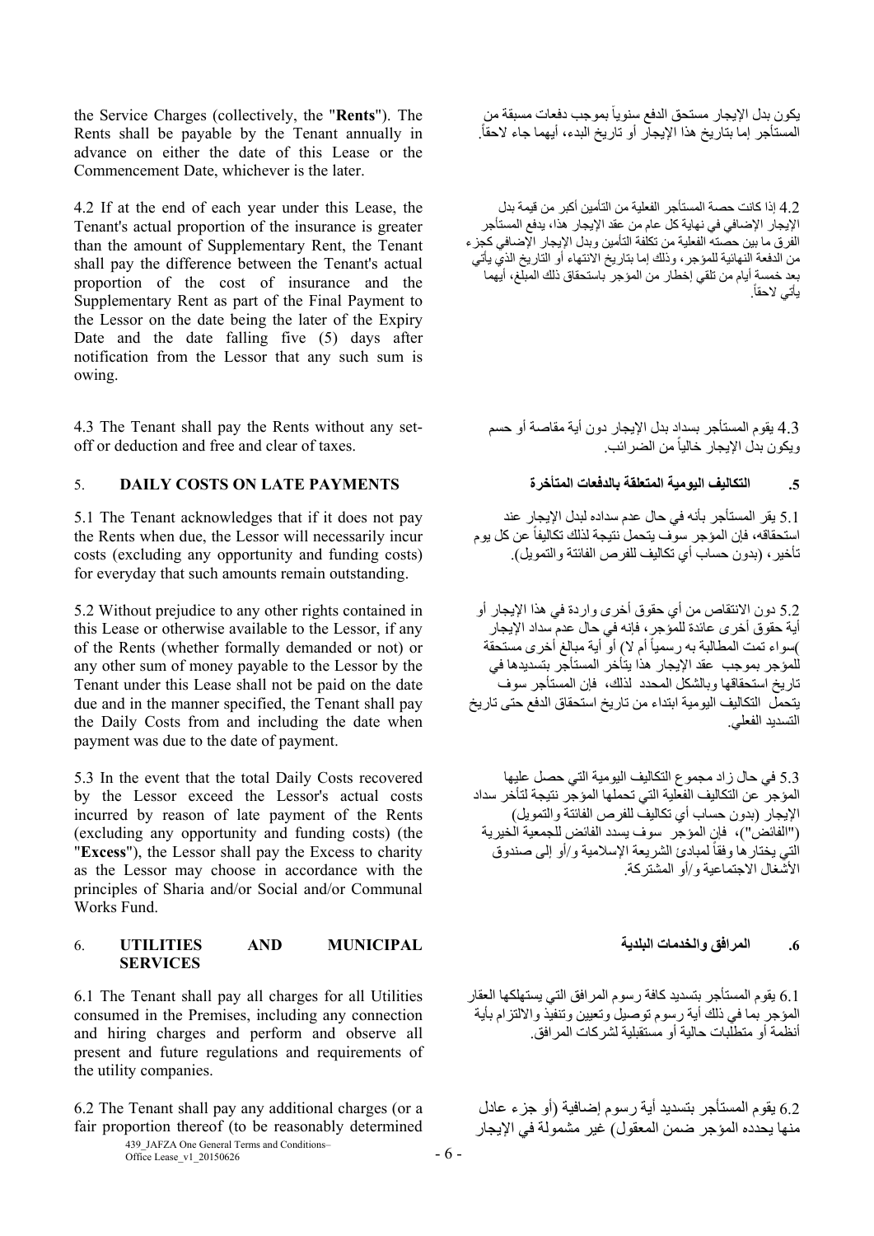the Service Charges (collectively, the "**Rents**"). The Rents shall be payable by the Tenant annually in advance on either the date of this Lease or the Commencement Date, whichever is the later.

4.2 If at the end of each year under this Lease, the Tenant's actual proportion of the insurance is greater than the amount of Supplementary Rent, the Tenant shall pay the difference between the Tenant's actual proportion of the cost of insurance and the Supplementary Rent as part of the Final Payment to the Lessor on the date being the later of the Expiry Date and the date falling five (5) days after notification from the Lessor that any such sum is owing.

4.3 The Tenant shall pay the Rents without any setoff or deduction and free and clear of taxes.

# **.5 التكاليف اليومية المتعلقة بالدفعات المتأخرة PAYMENTS LATE ON COSTS DAILY** 5.

5.1 The Tenant acknowledges that if it does not pay the Rents when due, the Lessor will necessarily incur costs (excluding any opportunity and funding costs) for everyday that such amounts remain outstanding.

5.2 Without prejudice to any other rights contained in this Lease or otherwise available to the Lessor, if any of the Rents (whether formally demanded or not) or any other sum of money payable to the Lessor by the Tenant under this Lease shall not be paid on the date due and in the manner specified, the Tenant shall pay the Daily Costs from and including the date when payment was due to the date of payment.

5.3 In the event that the total Daily Costs recovered by the Lessor exceed the Lessor's actual costs incurred by reason of late payment of the Rents (excluding any opportunity and funding costs) (the "**Excess**"), the Lessor shall pay the Excess to charity as the Lessor may choose in accordance with the principles of Sharia and/or Social and/or Communal Works Fund.

## **.6 المرافق والخدمات البلدية MUNICIPAL AND UTILITIES** 6. **SERVICES**

6.1 The Tenant shall pay all charges for all Utilities consumed in the Premises, including any connection and hiring charges and perform and observe all present and future regulations and requirements of the utility companies.

6.2 The Tenant shall pay any additional charges (or a fair proportion thereof (to be reasonably determined

439\_JAFZA One General Terms and Conditions–  $\frac{435}{201}$  Office Lease\_v1\_20150626 - 6 -

يكون بدل الإيجار مستحق الدفع سنويأ بموجب دفعات مسبقة من المستأجر إما بتاريخ هذا الإيجار أو تاريخ البدء، أيهما جاء لاحقاً.

4.2 إذا كانت حصة المستأجر الفعلية من التأمين أكبر من قيمة بدل اإليجار اإلضافي في نھاية كل عام من عقد اإليجار ھذا، يدفع المستأجر الفرق ما بين حصته الفعلية من تكلفة التأمين وبدل اإليجار اإلضافي كجزء من الدفعة النھائية للمؤجر، وذلك إما بتاريخ االنتھاء أو التاريخ الذي يأتي بعد خمسة أيام من تلقي إخطار من المؤجر باستحقاق ذلك المبلغ، أيھما بأتي لاحقاً.

4.3 يقوم المستأجر بسداد بدل اإليجار دون أية مقاصة أو حسم ويكون بدل الإيجار خالياً من الضر ائب.

5.1 يقر المستأجر بأنه في حال عدم سداده لبدل اإليجار عند استحقاقه، فإن المؤجر سوف يتحمل نتيجة لذلك تكاليفاً عن كل يوم تأخير، (بدون حساب أي تكاليف للفرص الفائتة والتمويل).

5.2 دون االنتقاص من أي حقوق أخرى واردة في ھذا اإليجار أو أية حقوق أخرى عائدة للمؤجر، فإنه في حال عدم سداد اإليجار )سواء تمت المطالبة به رسمياً أم لا) أو أية مبالغ أخرى مستحقة للمؤجر بموجب عقد اإليجار ھذا يتأخر المستأجر بتسديدھا في تاريخ استحقاقھا وبالشكل المحدد لذلك، فإن المستأجر سوف يتحمل التكاليف اليومية ابتداء من تاريخ استحقاق الدفع حتى تاريخ التسديد الفعلي.

5.3 في حال زاد مجموع التكاليف اليومية التي حصل عليھا المؤجر عن التكاليف الفعلية التي تحملھا المؤجر نتيجة لتأخر سداد اإليجار (بدون حساب أي تكاليف للفرص الفائتة والتمويل) ("الفائض")، فإن المؤجر سوف يسدد الفائض للجمعية الخيرية الّتي يختار ها وفقاً لمبادئ الشريعة الإسلامية و/أو إلى صندوق األشغال االجتماعية و/أو المشتركة.

6.1 يقوم المستأجر بتسديد كافة رسوم المرافق التي يستھلكھا العقار المؤجر بما في ذلك أية رسوم توصيل وتعيين وتنفيذ وااللتزام بأية أنظمة أو متطلبات حالية أو مستقبلية لشركات المرافق.

6.2 يقوم المستأجر بتسديد أية رسوم إضافية (أو جزء عادل منھا يحدده المؤجر ضمن المعقول) غير مشمولة في اإليجار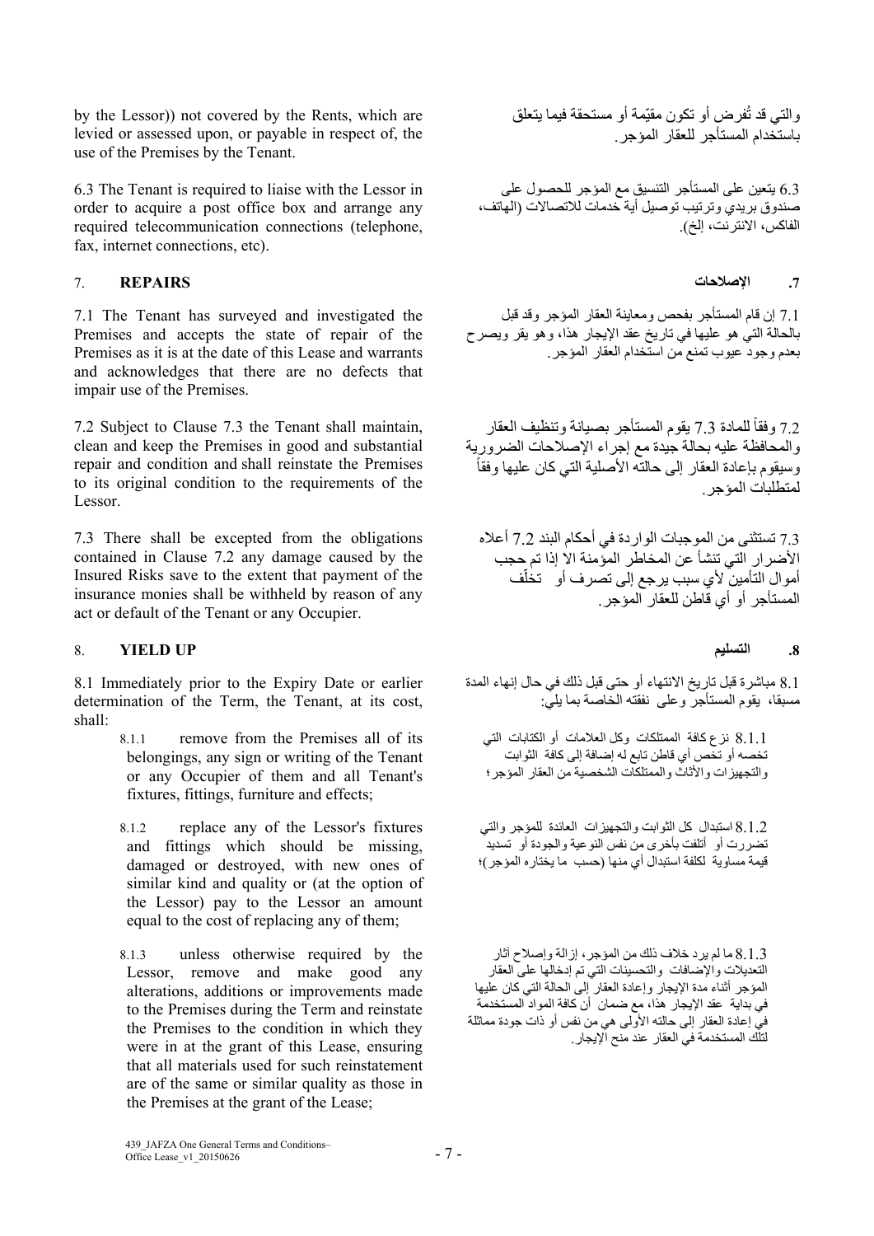by the Lessor)) not covered by the Rents, which are levied or assessed upon, or payable in respect of, the use of the Premises by the Tenant.

6.3 The Tenant is required to liaise with the Lessor in order to acquire a post office box and arrange any required telecommunication connections (telephone, fax, internet connections, etc).

# **.7 اإلصالحات REPAIRS** 7.

7.1 The Tenant has surveyed and investigated the Premises and accepts the state of repair of the Premises as it is at the date of this Lease and warrants and acknowledges that there are no defects that impair use of the Premises.

7.2 Subject to Clause 7.3 the Tenant shall maintain, clean and keep the Premises in good and substantial repair and condition and shall reinstate the Premises to its original condition to the requirements of the Lessor.

7.3 There shall be excepted from the obligations contained in Clause 7.2 any damage caused by the Insured Risks save to the extent that payment of the insurance monies shall be withheld by reason of any act or default of the Tenant or any Occupier.

# 8. **YIELD UP التسليم .8**

8.1 Immediately prior to the Expiry Date or earlier determination of the Term, the Tenant, at its cost, shall:

- 8.1.1 remove from the Premises all of its belongings, any sign or writing of the Tenant or any Occupier of them and all Tenant's fixtures, fittings, furniture and effects;
- 8.1.2 replace any of the Lessor's fixtures and fittings which should be missing, damaged or destroyed, with new ones of similar kind and quality or (at the option of the Lessor) pay to the Lessor an amount equal to the cost of replacing any of them;
- 8.1.3 unless otherwise required by the Lessor, remove and make good any alterations, additions or improvements made to the Premises during the Term and reinstate the Premises to the condition in which they were in at the grant of this Lease, ensuring that all materials used for such reinstatement are of the same or similar quality as those in the Premises at the grant of the Lease;

والتي قد تُفرض أو تكون مقيّمة أو مستحقة فيما يتعلق باستخدام المستأجر للعقار المؤجر.

6.3 يتعين على المستأجر التنسيق مع المؤجر للحصول على صندوق بريدي وترتيب توصيل أية خدمات لالتصاالت (الھاتف، الفاكس، االنترنت، إلخ).

7.1 إن قام المستأجر بفحص ومعاينة العقار المؤجر وقد قبل بالحالة التي ھو عليھا في تاريخ عقد اإليجار ھذا، وھو يقر ويصرح بعدم وجود عيوب تمنع من استخدام العقار المؤجر.

7.2 وفقاً للمادة 7.3 يقوم المستأجر بصيانة وتنظيف العقار والمحافظة عليه بحالة جيدة مع إجراء الإصلاحات الضرورية<br>وسيقوم بإعادة العقار إلى حالته الأصلية التي كان عليها وفقاً لمتطلبات المؤجر.

7.3 تستثنى من الموجبات الواردة في أحكام البند 7.2 أعاله األضرار التي تنشأ عن المخاطر المؤمنة اال إذا تم حجب ֧֦֧֖֖֚֚֚֚֡֓֝֬<br>֧֧ׅ֧֜֜<u>֛</u> أموال التأمين لأي سبب يرجع إلى تصرف أو تخلُّف المستأجر أو أي قاطن للعقار المؤجر.

8.1 مباشرة قبل تاريخ االنتھاء أو حتى قبل ذلك في حال إنھاء المدة مسبقا، يقوم المستأجر وعلى نفقته الخاصة بما يلي:

8.1.1 نزع كافة الممتلكات وكل العالمات أو الكتابات التي تخصه أو تخص أي قاطن تابع له إضافة إلى كافة الثوابت والتجھيزات واألثاث والممتلكات الشخصية من العقار المؤجر؛

8.1.2 استبدال كل الثوابت والتجھيزات العائدة للمؤجر والتي تضررت أو أتلفت بأخرى من نفس النوعية والجودة أو تسديد قيمة مساوية لكلفة استبدال أي منھا (حسب ما يختاره المؤجر)؛

8.1.3 ما لم يرد خالف ذلك من المؤجر، إزالة وإصالح آثار التعديالت واإلضافات والتحسينات التي تم إدخالھا على العقار المؤجر أثناء مدة اإليجار وإعادة العقار إلى الحالة التي كان عليھا في بداية عقد اإليجار ھذا، مع ضمان أن كافة المواد المستخدمة في إعادة العقار إلى حالته األولى ھي من نفس أو ذات جودة مماثلة لتلك المستخدمة في العقار عند منح اإليجار.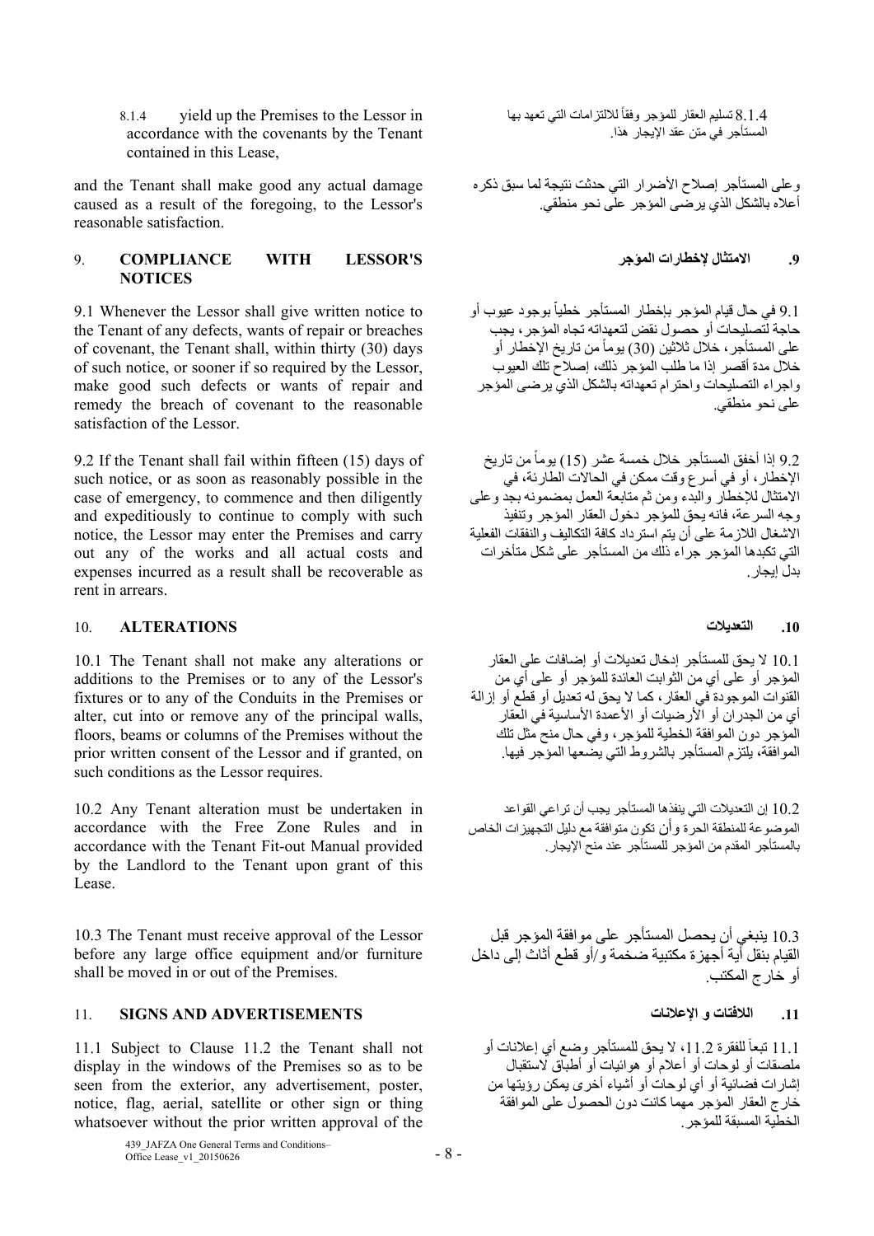8.1.4 yield up the Premises to the Lessor in accordance with the covenants by the Tenant contained in this Lease,

and the Tenant shall make good any actual damage caused as a result of the foregoing, to the Lessor's reasonable satisfaction.

# 9. **COMPLIANCE WITH LESSOR'S المؤجر إلخطارات االمتثال .9 NOTICES**

9.1 Whenever the Lessor shall give written notice to the Tenant of any defects, wants of repair or breaches of covenant, the Tenant shall, within thirty (30) days of such notice, or sooner if so required by the Lessor, make good such defects or wants of repair and remedy the breach of covenant to the reasonable satisfaction of the Lessor.

9.2 If the Tenant shall fail within fifteen (15) days of such notice, or as soon as reasonably possible in the case of emergency, to commence and then diligently and expeditiously to continue to comply with such notice, the Lessor may enter the Premises and carry out any of the works and all actual costs and expenses incurred as a result shall be recoverable as rent in arrears.

### **.10 التعديالت ALTERATIONS** 10.

10.1 The Tenant shall not make any alterations or additions to the Premises or to any of the Lessor's fixtures or to any of the Conduits in the Premises or alter, cut into or remove any of the principal walls, floors, beams or columns of the Premises without the prior written consent of the Lessor and if granted, on such conditions as the Lessor requires.

10.2 Any Tenant alteration must be undertaken in accordance with the Free Zone Rules and in accordance with the Tenant Fit-out Manual provided by the Landlord to the Tenant upon grant of this Lease.

10.3 The Tenant must receive approval of the Lessor before any large office equipment and/or furniture shall be moved in or out of the Premises.

# **.11 الالفتات و اإلعالنات ADVERTISEMENTS AND SIGNS** 11.

11.1 Subject to Clause 11.2 the Tenant shall not display in the windows of the Premises so as to be seen from the exterior, any advertisement, poster, notice, flag, aerial, satellite or other sign or thing whatsoever without the prior written approval of the

> 439 JAFZA One General Terms and Conditions–  $\frac{435}{201}$  Office Lease\_v1\_20150626 - 8 -

8.1.4 تسليم العقار للمؤجر وفقاً للالتزامات التي تعهد بها المستأجر في متن عقد اإليجار ھذا.

وعلى المستأجر إصالح األضرار التي حدثت نتيجة لما سبق ذكره أعاله بالشكل الذي يرضى المؤجر على نحو منطقي.

Ĭ. 9.1 في حال قيام المؤجر بإخطار المستأجر خطياً بوجود عيوب أو حاجة لتصليحات أو حصول نقض لتعھداته تجاه المؤجر، يجب على المستأجر ، خلال ثلاثين (30) يوماً من تاريخ الإخطار أو خالل مدة أقصر إذا ما طلب المؤجر ذلك، إصالح تلك العيوب واجراء التصليحات واحترام تعھداته بالشكل الذي يرضى المؤجر على نحو منطقي.

9.2 إذا أخفق المستأجر خلال خمسة عشر (15) يوماً من تاريخ اإلخطار، أو في أسرع وقت ممكن في الحاالت الطارئة، في االمتثال لإلخطار والبدء ومن ثم متابعة العمل بمضمونه بجد وعلى وجه السرعة، فانه يحق للمؤجر دخول العقار المؤجر وتنفيذ االشغال الالزمة على أن يتم استرداد كافة التكاليف والنفقات الفعلية التي تكبدھا المؤجر جراء ذلك من المستأجر على شكل متأخرات بدل إيجار.

10.1 ال يحق للمستأجر إدخال تعديالت أو إضافات على العقار المؤجر أو على أي من الثوابت العائدة للمؤجر أو على أي من القنوات الموجودة في العقار، كما ال يحق له تعديل أو قطع أو إزالة أي من الجدر ان أو الأرضيات أو الأعمدة الأساسية في العقار المؤجر دون الموافقة الخطية للمؤجر، وفي حال منح مثل تلك الموافقة، يلتزم المستأجر بالشروط التي يضعھا المؤجر فيھا.

10.2 إن التعديالت التي ينفذھا المستأجر يجب أن تراعي القواعد الموضوعة للمنطقة الحرة وأن تكون متوافقة مع دليل التجھيزات الخاص بالمستأجر المقدم من المؤجر للمستأجر عند منح اإليجار.

10.3 ينبغي أن يحصل المستأجر على موافقة المؤجر قبل القيام بنقل أية أجھزة مكتبية ضخمة و/أو قطع أثاث إلى داخل أو خارج المكتب.

11.1 تبعاً للفقرة 11.2، لا يحق للمستأجر وضع أي إعلانات أو ملصقات أو لوحات أو أعالم أو ھوائيات أو أطباق الستقبال إشارات فضائية أو أي لوحات أو أشياء أخرى يمكن رؤيتھا من خارج العقار المؤجر مھما كانت دون الحصول على الموافقة الخطية المسبقة للمؤجر.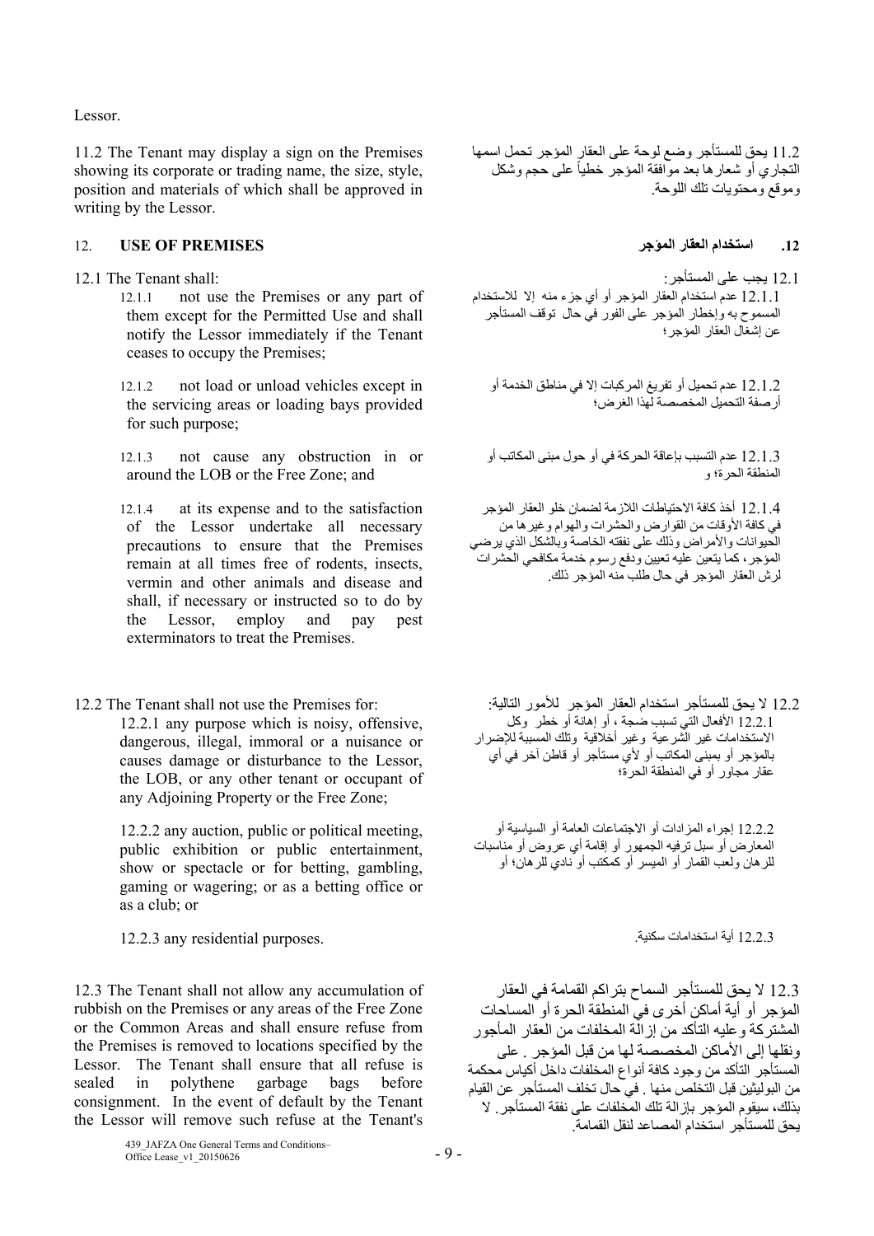Lessor.

11.2 The Tenant may display a sign on the Premises showing its corporate or trading name, the size, style, position and materials of which shall be approved in writing by the Lessor.

# **.12 استخدام العقار المؤجر PREMISES OF USE** 12.

- - 12.1.1 not use the Premises or any part of them except for the Permitted Use and shall notify the Lessor immediately if the Tenant ceases to occupy the Premises;
	- 12.1.2 not load or unload vehicles except in the servicing areas or loading bays provided for such purpose;
	- 12.1.3 not cause any obstruction in or around the LOB or the Free Zone; and
	- 12.1.4 at its expense and to the satisfaction of the Lessor undertake all necessary precautions to ensure that the Premises remain at all times free of rodents, insects, vermin and other animals and disease and shall, if necessary or instructed so to do by the Lessor, employ and pay pest exterminators to treat the Premises.
- 

12.2.1 any purpose which is noisy, offensive, dangerous, illegal, immoral or a nuisance or causes damage or disturbance to the Lessor, the LOB, or any other tenant or occupant of any Adjoining Property or the Free Zone;

12.2.2 any auction, public or political meeting, public exhibition or public entertainment, show or spectacle or for betting, gambling, gaming or wagering; or as a betting office or as a club; or

12.2.3 أية استخدامات سكنية. .purposes residential any 12.2.3

12.3 The Tenant shall not allow any accumulation of rubbish on the Premises or any areas of the Free Zone or the Common Areas and shall ensure refuse from the Premises is removed to locations specified by the Lessor. The Tenant shall ensure that all refuse is sealed in polythene garbage bags before consignment. In the event of default by the Tenant the Lessor will remove such refuse at the Tenant's

11.2 يحق للمستأجر وضع لوحة على العقار المؤجر تحمل اسمھا التجاري أو شعار ها بعد موافقة المؤجر خطياً على حجم وشكل وموقع ومحتويات تلك اللوحة.

12.1 يجب على المستأجر: :shall Tenant The 12.1 1 <del>ينب حي</del><br>12.1.1 عدم استخدام العقار المؤجر أو أي جزء منه إلا للاستخدام المسموح به وإخطار المؤجر على الفور في حال توقف المستأجر عن إشغال العقار المؤجر؛

> 12.1.2 عدم تحميل أو تفريغ المركبات إال في مناطق الخدمة أو أرصفة التحميل المخصصة لھذا الغرض؛

12.1.3 عدم التسبب بإعاقة الحركة في أو حول مبنى المكاتب أو المنطقة الحرة؛ و

12.1.4 أخذ كافة االحتياطات الالزمة لضمان خلو العقار المؤجر في كافة الأوقات من القوارض والحشرات والهوام وغير ها من الحيوانات والأمراض وذلك على نفقته الخاصة وبالشكل الذي يرضيي المؤجر، كما يتعين عليه تعيين ودفع رسوم خدمة مكافحي الحشرات لرش العقار المؤجر في حال طلب منه المؤجر ذلك.

12.2 Ine Tenant shall not use the Premises for: لا يحق للمستأجر استخدام العقار المؤجر للأمور التالية: : .for 1 12.2.1 األفعال التي تسبب ضجة ، أو إھانة أو خطر وكل االستخدامات غير الشرعية وغير أخالقية وتلك المسببة لإلضرار بالمستحسبات على علم عن المحرب .<br>بالمؤجر أو بمبنى المكاتب أو لأي مستأجر أو قاطن آخر في أي عقار مجاور أو في المنطقة الحرة؛

> 12.2.2 إجراء المزادات أو االجتماعات العامة أو السياسية أو المعارض أو سبل ترفيه الجمھور أو إقامة أي عروض أو مناسبات للرھان ولعب القمار أو الميسر أو كمكتب أو نادي للرھان؛ أو

12.3 ال يحق للمستأجر السماح بتراكم القمامة في العقار المؤجر أو أية أماكن أخرى في المنطقة الحرة أو المساحات المشتركة وعليه التأكد من إزالة المخلفات من العقار المأجور ونقلھا إلى األماكن المخصصة لھا من قبل المؤجر . على المستأجر التأكد من وجود كافة أنواع المخلفات داخل أكياس محكمة من البوليثين قبل التخلص منھا . في حال تخلف المستأجر عن القيام بذلك، سيقوم المؤجر بإزالة تلك المخلفات على نفقة المستأجر. ال يحق للمستأجر استخدام المصاعد لنقل القمامة.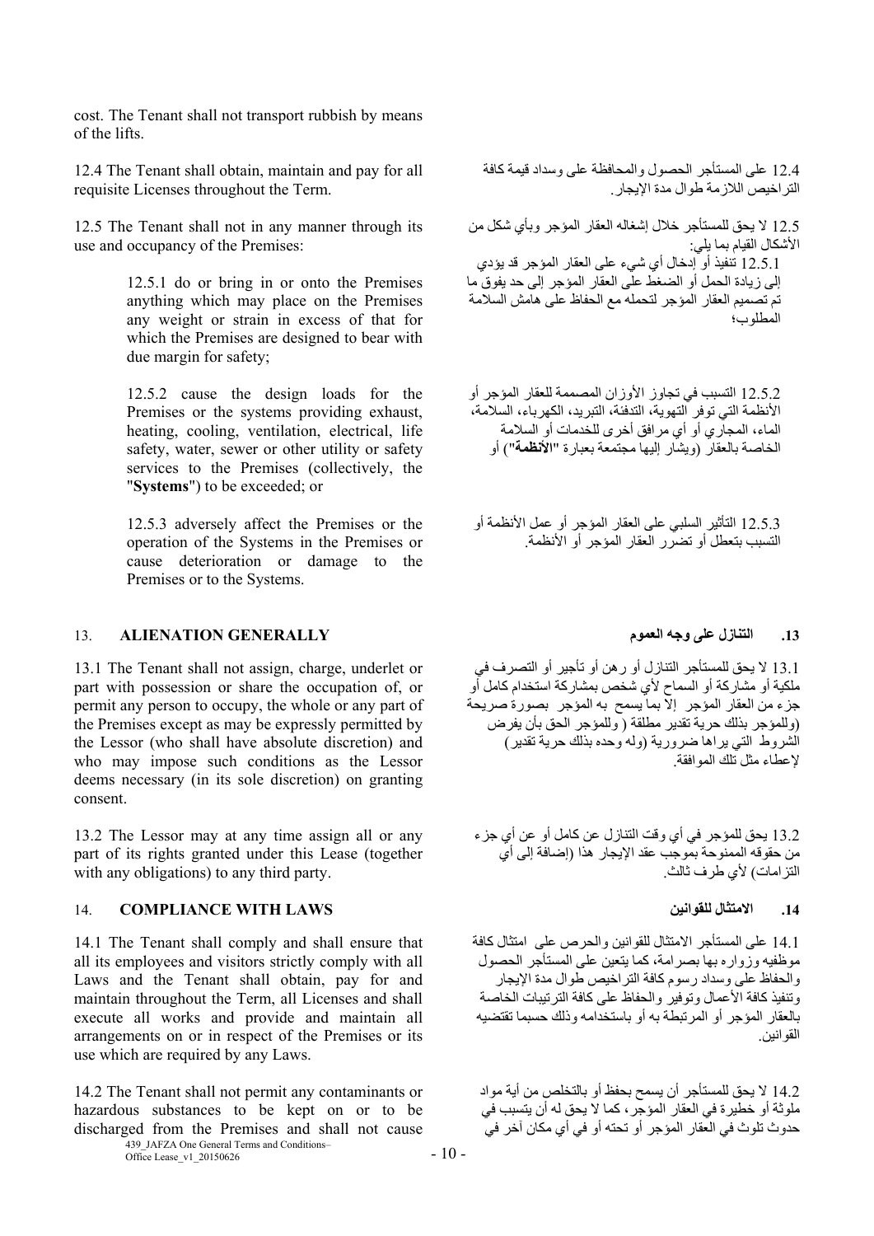cost. The Tenant shall not transport rubbish by means of the lifts.

12.4 The Tenant shall obtain, maintain and pay for all requisite Licenses throughout the Term.

12.5 The Tenant shall not in any manner through its use and occupancy of the Premises:

> 12.5.1 do or bring in or onto the Premises anything which may place on the Premises any weight or strain in excess of that for which the Premises are designed to bear with due margin for safety;

> 12.5.2 cause the design loads for the Premises or the systems providing exhaust, heating, cooling, ventilation, electrical, life safety, water, sewer or other utility or safety services to the Premises (collectively, the "**Systems**") to be exceeded; or

> 12.5.3 adversely affect the Premises or the operation of the Systems in the Premises or cause deterioration or damage to the Premises or to the Systems.

# **.13 التنازل على وجه العموم GENERALLY ALIENATION** 13.

13.1 The Tenant shall not assign, charge, underlet or part with possession or share the occupation of, or permit any person to occupy, the whole or any part of the Premises except as may be expressly permitted by the Lessor (who shall have absolute discretion) and who may impose such conditions as the Lessor deems necessary (in its sole discretion) on granting consent.

13.2 The Lessor may at any time assign all or any part of its rights granted under this Lease (together with any obligations) to any third party.

# 14. **COMPLIANCE WITH LAWS للقوانين االمتثال .14**

14.1 The Tenant shall comply and shall ensure that all its employees and visitors strictly comply with all Laws and the Tenant shall obtain, pay for and maintain throughout the Term, all Licenses and shall execute all works and provide and maintain all arrangements on or in respect of the Premises or its use which are required by any Laws.

439 JAFZA One General Terms and Conditions– 14.2 The Tenant shall not permit any contaminants or hazardous substances to be kept on or to be discharged from the Premises and shall not cause

 $\frac{435}{2}$ JAFZA One General Terms and Conditions -  $10 - 10$ 

12.5 ال يحق للمستأجر خالل إشغاله العقار المؤجر وبأي شكل من األشكال القيام بما يلي: 12.5.1 تنفيذ أو إدخال أي شيء على العقار المؤجر قد يؤدي إلى زيادة الحمل أو الضغط على العقار المؤجر إلى حد يفوق ما تم تصميم العقار المؤجر لتحمله مع الحفاظ على ھامش السالمة المطلوب؛

12.5.2 التسبب في تجاوز األوزان المصممة للعقار المؤجر أو األنظمة التي توفر التھوية، التدفئة، التبريد، الكھرباء، السالمة، الماء، المجاري أو أي مرافق أخرى للخدمات أو السالمة الخاصة بالعقار (ويشار إليھا مجتمعة بعبارة "**األنظمة**") أو

12.5.3 التأثير السلبي على العقار المؤجر أو عمل األنظمة أو التسبب بتعطل أو تضرر العقار المؤجر أو األنظمة.

13.1 ال يحق للمستأجر التنازل أو رھن أو تأجير أو التصرف في ملكية أو مشاركة أو السماح ألي شخص بمشاركة استخدام كامل أو جزء من العقار المؤجر إال بما يسمح به المؤجر بصورة صريحة (وللمؤجر بذلك حرية تقدير مطلقة ( وللمؤجر الحق بأن يفرض الشروط التي يراھا ضرورية (وله وحده بذلك حرية تقدير) إلعطاء مثل تلك الموافقة.

13.2 يحق للمؤجر في أي وقت التنازل عن كامل أو عن أي جزء من حقوقه الممنوحة بموجب عقد اإليجار ھذا (إضافة إلى أي التزامات) لأي طرف ثالث.

14.1 على المستأجر االمتثال للقوانين والحرص على امتثال كافة موظفيه وزواره بھا بصرامة، كما يتعين على المستأجر الحصول والحفاظ على وسداد رسوم كافة التراخيص طوال مدة اإليجار وتنفيذ كافة الأعمال وتوفير والحفاظ على كافة الترتيبات الخاصة بالعقار المؤجر أو المرتبطة به أو باستخدامه وذلك حسبما تقتضيه القوانين.

14.2 ال يحق للمستأجر أن يسمح بحفظ أو بالتخلص من أية مواد ملوثة أو خطيرة في العقار المؤجر، كما ال يحق له أن يتسبب في حدوث تلوث في العقار المؤجر أو تحته أو في أي مكان آخر في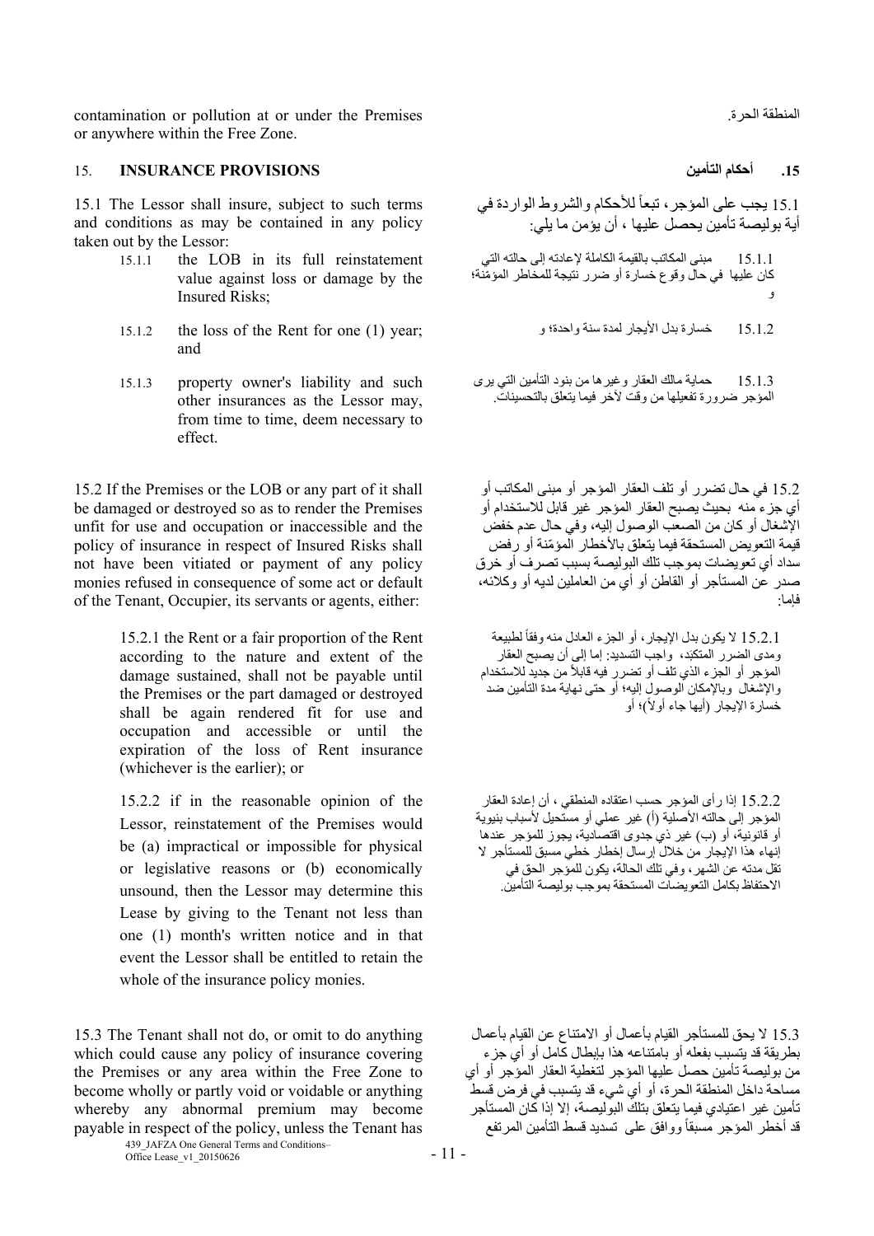contamination or pollution at or under the Premises .الحرة المنطقة or anywhere within the Free Zone.

# **.15 أحكام التأمين PROVISIONS INSURANCE** 15.

15.1 The Lessor shall insure, subject to such terms and conditions as may be contained in any policy taken out by the Lessor:

- 15.1.1 the LOB in its full reinstatement value against loss or damage by the Insured Risks;
- and
- 15.1.3 property owner's liability and such other insurances as the Lessor may, from time to time, deem necessary to effect.

15.2 If the Premises or the LOB or any part of it shall be damaged or destroyed so as to render the Premises unfit for use and occupation or inaccessible and the policy of insurance in respect of Insured Risks shall not have been vitiated or payment of any policy monies refused in consequence of some act or default of the Tenant, Occupier, its servants or agents, either:

> 15.2.1 the Rent or a fair proportion of the Rent according to the nature and extent of the damage sustained, shall not be payable until the Premises or the part damaged or destroyed shall be again rendered fit for use and occupation and accessible or until the expiration of the loss of Rent insurance (whichever is the earlier); or

> 15.2.2 if in the reasonable opinion of the Lessor, reinstatement of the Premises would be (a) impractical or impossible for physical or legislative reasons or (b) economically unsound, then the Lessor may determine this Lease by giving to the Tenant not less than one (1) month's written notice and in that event the Lessor shall be entitled to retain the whole of the insurance policy monies.

15.3 The Tenant shall not do, or omit to do anything which could cause any policy of insurance covering the Premises or any area within the Free Zone to become wholly or partly void or voidable or anything whereby any abnormal premium may become payable in respect of the policy, unless the Tenant has

> 439 JAFZA One General Terms and Conditions–  $\frac{435}{201}$  Office Lease\_v1\_20150626 - 11 -

15.1 يجب على المؤجر ، تبعاً للأحكام والشروط الواردة في أية بوليصة تأمين يحصل عليھا ، أن يؤمن ما يلي: 15.1.1 مبنى المكاتب بالقيمة الكاملة إلعادته إلى حالته التي كان عليھا في حال وقوع خسارة أو ضرر نتيجة للمخاطر ّ المؤمنة؛ و 15.1.2 the loss of the Rent for one (1) year; و واحدة؛ سنة لمدة األيجار بدل خسارة 15.1.2

> 15.1.3 حماية مالك العقار وغيرھا من بنود التأمين التي يرى المؤجر ضرورة تفعيلھا من وقت آلخر فيما يتعلق بالتحسينات.

15.2 في حال تضرر أو تلف العقار المؤجر أو مبنى المكاتب أو أي جزء منه بحيث يصبح العقار المؤجر غير قابل لالستخدام أو اإلشغال أو كان من الصعب الوصول إليه، وفي حال عدم خفض قيمة التعويض المستحقة فيما يتعلق بالأخطار ۖ المؤمّنة أو رفض سداد أي تعويضات بموجب تلك البوليصة بسبب تصرف أو خرق صدر عن المستأجر أو القاطن أو أي من العاملين لديه أو وكالئه، فإما:

15.2.1 لا يكون بدل الإيجار ، أو الجزء العادل منه وفقاً لطبيعة رمدي الضرر المتكبَد، واجب التسديد: إما إلى أن يصبح العقار المؤجر أو الجزء الذي تلف أو تضرر فيه قابلاً من جديد للاستخدام واإلشغال وباإلمكان الوصول إليه؛ أو حتى نھاية مدة التأمين ضد خسارة الإيجار (أيها جاء أولاً)؛ أو

15.2.2 إذا رأى المؤجر حسب اعتقاده المنطقي ، أن إعادة العقار المؤجر إلى حالته الأصلية (أ) غير عملي أو مستحيل لأسباب بنيوية أو قانونية، أو (ب) غير ذي جدوى اقتصادية، يجوز للمؤجر عندھا إنھاء ھذا اإليجار من خالل إرسال إخطار خطي مسبق للمستأجر ال تقل مدته عن الشھر، وفي تلك الحالة، يكون للمؤجر الحق في االحتفاظ بكامل التعويضات المستحقة بموجب بوليصة التأمين.

15.3 ال يحق للمستأجر القيام بأعمال أو االمتناع عن القيام بأعمال بطريقة قد يتسبب بفعله أو بامتناعه ھذا بإبطال كامل أو أي جزء من بوليصة تأمين حصل عليھا المؤجر لتغطية العقار المؤجر أو أي مساحة داخل المنطقة الحرة، أو أي شيء قد يتسبب في فرض قسط تأمين غير اعتيادي فيما يتعلق بتلك البوليصة، إال إذا كان المستأجر قد أخطر المؤجر مسبقاً ووافق على تسديد قسط التأمين المرتفع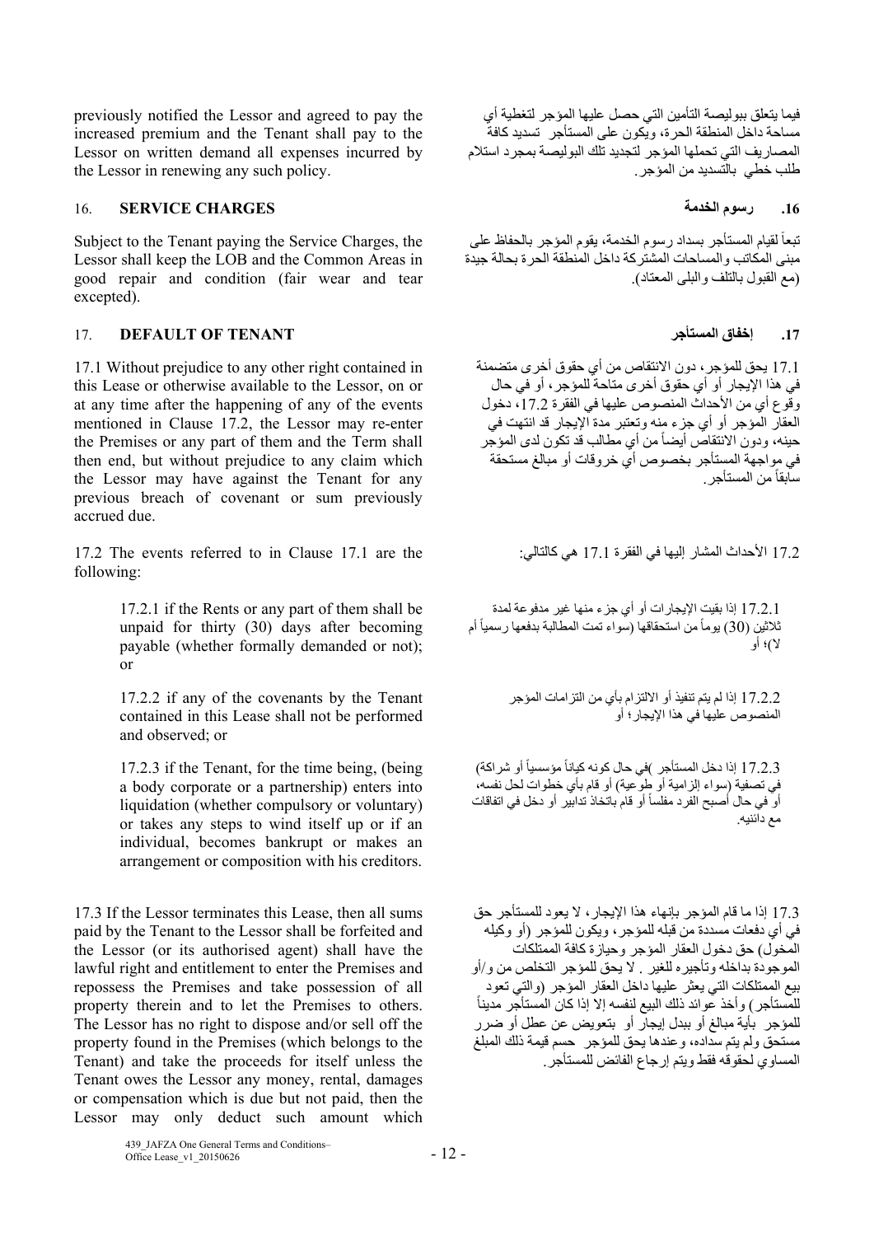previously notified the Lessor and agreed to pay the increased premium and the Tenant shall pay to the Lessor on written demand all expenses incurred by the Lessor in renewing any such policy.

# **.16 رسوم الخدمة CHARGES SERVICE** 16.

Subject to the Tenant paying the Service Charges, the Lessor shall keep the LOB and the Common Areas in good repair and condition (fair wear and tear excepted).

# 17. **DEFAULT OF TENANT المستأجر إخفاق .17**

17.1 Without prejudice to any other right contained in this Lease or otherwise available to the Lessor, on or at any time after the happening of any of the events mentioned in Clause 17.2, the Lessor may re-enter the Premises or any part of them and the Term shall then end, but without prejudice to any claim which the Lessor may have against the Tenant for any previous breach of covenant or sum previously accrued due.

17.2 The events referred to in Clause 17.1 are the :كالتالي ھي 17.1 الفقرة في إليھا المشار األحداث 17.2 following:

17.2.1 if the Rents or any part of them shall be unpaid for thirty (30) days after becoming payable (whether formally demanded or not); or

17.2.2 if any of the covenants by the Tenant contained in this Lease shall not be performed and observed; or

17.2.3 if the Tenant, for the time being, (being a body corporate or a partnership) enters into liquidation (whether compulsory or voluntary) or takes any steps to wind itself up or if an individual, becomes bankrupt or makes an arrangement or composition with his creditors.

17.3 If the Lessor terminates this Lease, then all sums paid by the Tenant to the Lessor shall be forfeited and the Lessor (or its authorised agent) shall have the lawful right and entitlement to enter the Premises and repossess the Premises and take possession of all property therein and to let the Premises to others. The Lessor has no right to dispose and/or sell off the property found in the Premises (which belongs to the Tenant) and take the proceeds for itself unless the Tenant owes the Lessor any money, rental, damages or compensation which is due but not paid, then the Lessor may only deduct such amount which

فيما يتعلق ببوليصة التأمين التي حصل عليھا المؤجر لتغطية أي مساحة داخل المنطقة الحرة، ويكون على المستأجر تسديد كافة المصاريف التي تحملھا المؤجر لتجديد تلك البوليصة بمجرد استالم طلب خطي بالتسديد من المؤجر.

تبعاً لقيام المستأجر بسداد رسوم الخدمة، يقوم المؤجر بالحفاظ على مبنى المكاتب والمساحات المشتركة داخل المنطقة الحرة بحالة جيدة (مع القبول بالتلف والبلى المعتاد).

17.1 يحق للمؤجر، دون االنتقاص من أي حقوق أخرى متضمنة في ھذا اإليجار أو أي حقوق أخرى متاحة للمؤجر، أو في حال وقوع أي من األحداث المنصوص عليھا في الفقرة ،17.2 دخول العقار المؤجر أو أي جزء منه وتعتبر مدة اإليجار قد انتھت في حينه، ودون الانتقاص أيضاً من أي مطالب قد تكون لدى المؤجر في مواجھة المستأجر بخصوص أي خروقات أو مبالغ مستحقة سابقاً من المستأجر

17.2.1 إذا بقيت اإليجارات أو أي جزء منھا غير مدفوعة لمدة ثلاثين (30) يوماً من استحقاقها (سواء تمت المطالبة بدفعها رسمياً أم ال)؛ أو

> 17.2.2 إذا لم يتم تنفيذ أو االلتزام بأي من التزامات المؤجر المنصوص عليھا في ھذا اإليجار؛ أو

17.2.3 إذا دخل المستأجر )في حال كونه كياناً مؤسسياً أو شراكة) في تصفية (سواء إلزامية أو طوعية) أو قام بأي خطوات لحل نفسه، أو في حال أصبح الفرد مفلساً أو قام باتخاذ تدابير أو دخل في اتفاقات مع دائنيه.

17.3 إذا ما قام المؤجر بإنھاء ھذا اإليجار، ال يعود للمستأجر حق في أي دفعات مسددة من قبله للمؤجر، ويكون للمؤجر (أو وكيله المخول) حق دخول العقار المؤجر وحيازة كافة الممتلكات الموجودة بداخله وتأجيره للغير . ال يحق للمؤجر التخلص من و/أو بيع الممتلكات التي يعثر عليها داخل العقار المؤجر (والتي تعود<br>للمستأجر) وأخذ عوائد ذلك البيع لنفسه إلا إذا كان المستأجر مديناً للمؤجر بأية مبالغ أو ببدل إيجار أو بتعويض عن عطل أو ضرر مستحق ولم يتم سداده، وعندھا يحق للمؤجر حسم قيمة ذلك المبلغ المساوي لحقوقه فقط ويتم إرجاع الفائض للمستأجر.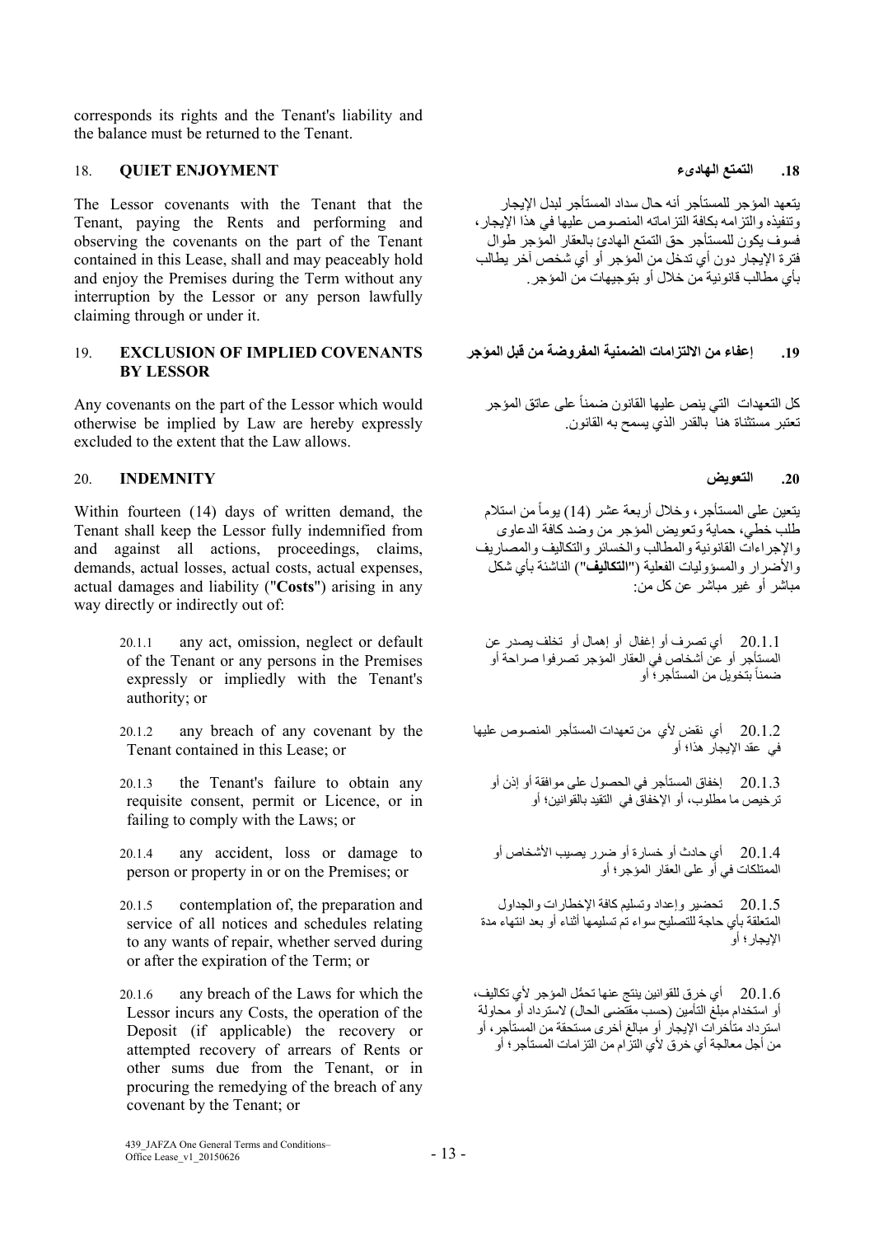corresponds its rights and the Tenant's liability and the balance must be returned to the Tenant.

# **.18 التمتع الھادىء ENJOYMENT QUIET** 18.

The Lessor covenants with the Tenant that the Tenant, paying the Rents and performing and observing the covenants on the part of the Tenant contained in this Lease, shall and may peaceably hold and enjoy the Premises during the Term without any interruption by the Lessor or any person lawfully claiming through or under it.

# **.19 إعفاء من االلتزامات الضمنية المفروضة من قبل المؤجر COVENANTS IMPLIED OF EXCLUSION** 19. **BY LESSOR**

Any covenants on the part of the Lessor which would otherwise be implied by Law are hereby expressly excluded to the extent that the Law allows.

# **.20 التعويض INDEMNITY** 20.

Within fourteen (14) days of written demand, the Tenant shall keep the Lessor fully indemnified from and against all actions, proceedings, claims, demands, actual losses, actual costs, actual expenses, actual damages and liability ("**Costs**") arising in any way directly or indirectly out of:

- 20.1.1 any act, omission, neglect or default of the Tenant or any persons in the Premises expressly or impliedly with the Tenant's authority; or
- 20.1.2 any breach of any covenant by the Tenant contained in this Lease; or
- 20.1.3 the Tenant's failure to obtain any requisite consent, permit or Licence, or in failing to comply with the Laws; or
- 20.1.4 any accident, loss or damage to person or property in or on the Premises; or
- 20.1.5 contemplation of, the preparation and service of all notices and schedules relating to any wants of repair, whether served during or after the expiration of the Term; or

20.1.6 any breach of the Laws for which the Lessor incurs any Costs, the operation of the Deposit (if applicable) the recovery or attempted recovery of arrears of Rents or other sums due from the Tenant, or in procuring the remedying of the breach of any covenant by the Tenant; or

يتعھد المؤجر للمستأجر أنه حال سداد المستأجر لبدل اإليجار وتنفيذه والتزامه بكافة التزاماته المنصوص عليھا في ھذا اإليجار، فسوف يكون للمستأجر حق التمتع الھادئ بالعقار المؤجر طوال فترة اإليجار دون أي تدخل من المؤجر أو أي شخص آخر يطالب بأي مطالب قانونية من خالل أو بتوجيھات من المؤجر.

كل التعهدات التي ينص عليها القانون ضمناً على عاتق المؤجر تعتبر مستثناة ھنا بالقدر الذي يسمح به القانون.

بنعين على المستأجر، وخلال أربعة عشر (14) بوماً من استلام طلب خطي، حماية وتعويض المؤجر من وضد كافة الدعاوى واإلجراءات القانونية والمطالب والخسائر والتكاليف والمصاريف واألضرار والمسؤوليات الفعلية ("**التكاليف**") الناشئة بأي شكل مباشر أو غير مباشر عن كل من:

20.1.1 أي تصرف أو إغفال أو إھمال أو تخلف يصدر عن المستأجر أو عن أشخاص في العقار المؤجر تصرفوا صراحة أو ضمناً بتخويل من المستأجر ؛ أو

20.1.2 أي نقض ألي من تعھدات المستأجر المنصوص عليھا في عقد اإليجار ھذا؛ أو

20.1.3 إخفاق المستأجر في الحصول على موافقة أو إذن أو ترخيص ما مطلوب، أو اإلخفاق في التقيد بالقوانين؛ أو

20.1.4 أي حادث أو خسارة أو ضرر يصيب األشخاص أو الممتلكات في أو على العقار المؤجر؛ أو

20.1.5 تحضير وإعداد وتسليم كافة اإلخطارات والجداول المتعلقة بأي حاجة للتصليح سواء تم تسليمھا أثناء أو بعد انتھاء مدة اإليجار؛ أو

20.1.6 أي خرق للقوانين ينتج عنھا ُّ تحمل المؤجر ألي تكاليف، أو استخدام مبلغ التأمين (حسب مقتضى الحال) السترداد أو محاولة استرداد متأخرات اإليجار أو مبالغ أخرى مستحقة من المستأجر، أو من أجل معالجة أي خرق ألي التزام من التزامات المستأجر؛ أو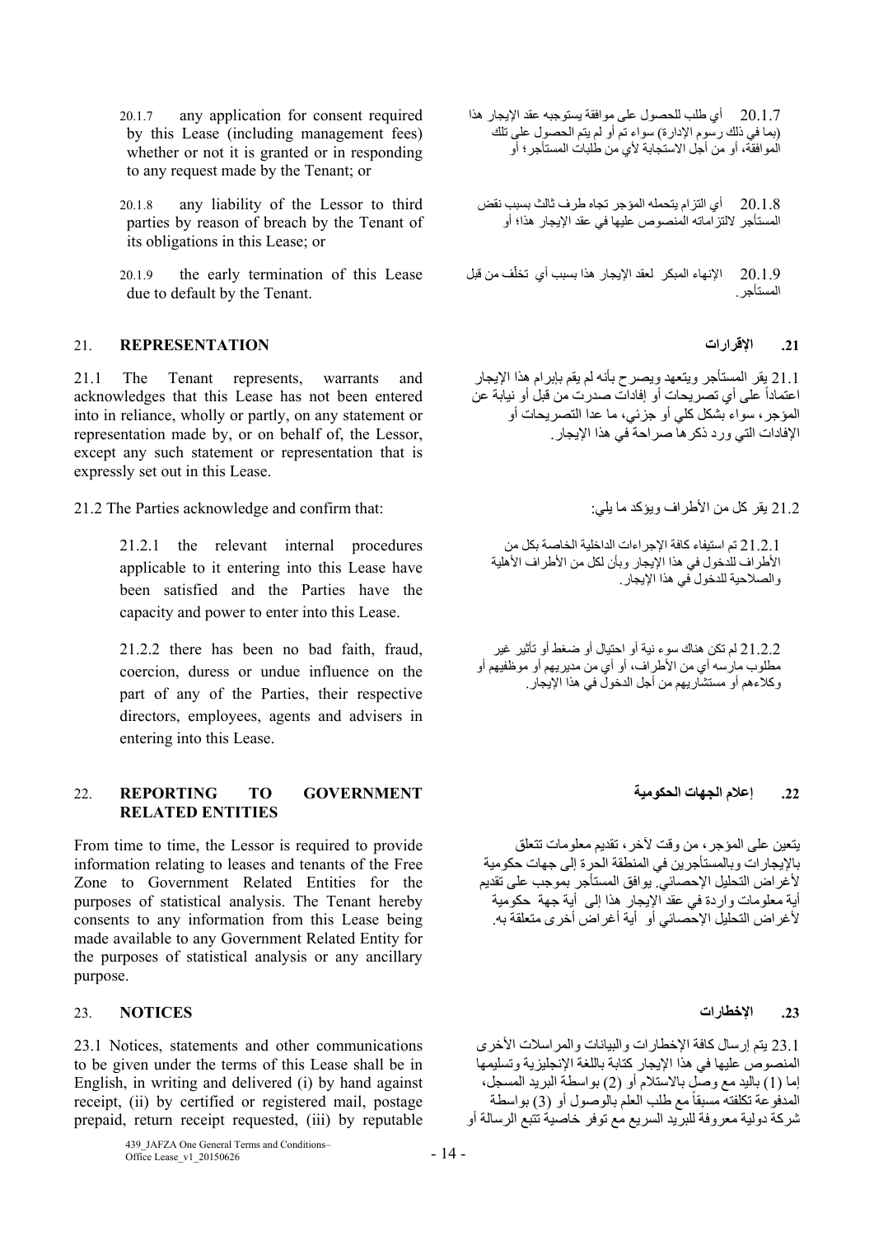- 20.1.7 any application for consent required by this Lease (including management fees) whether or not it is granted or in responding to any request made by the Tenant; or
- 20.1.8 any liability of the Lessor to third parties by reason of breach by the Tenant of its obligations in this Lease; or
- 20.1.9 the early termination of this Lease due to default by the Tenant.

### **.21 اإلقرارات REPRESENTATION** 21.

21.1 The Tenant represents, warrants and acknowledges that this Lease has not been entered into in reliance, wholly or partly, on any statement or representation made by, or on behalf of, the Lessor, except any such statement or representation that is expressly set out in this Lease.

21.2 يقر كل من الأطراف ويؤكد ما يلي: : :the Parties acknowledge and confirm that:

21.2.1 the relevant internal procedures applicable to it entering into this Lease have been satisfied and the Parties have the capacity and power to enter into this Lease.

21.2.2 there has been no bad faith, fraud, coercion, duress or undue influence on the part of any of the Parties, their respective directors, employees, agents and advisers in entering into this Lease.

### **.22 إعالم الجھات الحكومية GOVERNMENT TO REPORTING** 22. **RELATED ENTITIES**

From time to time, the Lessor is required to provide information relating to leases and tenants of the Free Zone to Government Related Entities for the purposes of statistical analysis. The Tenant hereby consents to any information from this Lease being made available to any Government Related Entity for the purposes of statistical analysis or any ancillary purpose.

### **.23 اإلخطارات NOTICES** 23.

23.1 Notices, statements and other communications to be given under the terms of this Lease shall be in English, in writing and delivered (i) by hand against receipt, (ii) by certified or registered mail, postage prepaid, return receipt requested, (iii) by reputable

20.1.7 أي طلب للحصول على موافقة يستوجبه عقد اإليجار ھذا (بما في ذلك رسوم اإلدارة) سواء تم أو لم يتم الحصول على تلك الموافقة، أو من أجل االستجابة ألي من طلبات المستأجر؛ أو

20.1.8 أي التزام يتحمله المؤجر تجاه طرف ثالث بسبب نقض المستأجر اللتزاماته المنصوص عليھا في عقد اإليجار ھذا؛ أو

20.1.9 الإنهاء المبكر لعقد الإيجار هذا بسبب أي تخلّف من قبل المستأجر.

21.1 يقر المستأجر ويتعھد ويصرح بأنه لم يقم بإبرام ھذا اإليجار اعتماداً على أي تصريحات أو إفادات صدرت من قبل أو نيابة عن المؤجر، سواء بشكل كلي أو جزئي، ما عدا التصريحات أو اإلفادات التي ورد ذكرھا صراحة في ھذا اإليجار.

21.2.1 تم استيفاء كافة اإلجراءات الداخلية الخاصة بكل من الأطراف للدخول في هذا الإيجار وبأن لكل من الأطراف الأهلية والصالحية للدخول في ھذا اإليجار.

21.2.2 لم تكن ھناك سوء نية أو احتيال أو ضغط أو تأثير غير مطلوب مارسه أي من األطراف، أو أي من مديريھم أو موظفيھم أو وكالءھم أو مستشاريھم من أجل الدخول في ھذا اإليجار.

يتعين على المؤجر، من وقت آلخر، تقديم معلومات تتعلق باإليجارات وبالمستأجرين في المنطقة الحرة إلى جھات حكومية ألغراض التحليل اإلحصائي. يوافق المستأجر بموجب على تقديم أية معلومات واردة في عقد اإليجار ھذا إلى أية جھة حكومية ألغراض التحليل اإلحصائي أو أية أغراض أخرى متعلقة به.

23.1 يتم إرسال كافة اإلخطارات والبيانات والمراسالت األخرى المنصوص عليھا في ھذا اإليجار كتابة باللغة اإلنجليزية وتسليمھا إما (1) باليد مع وصل باالستالم أو (2) بواسطة البريد المسجل، المدفوعة تكلفته مسبقاً مع طلب العلم بالوصول أو (3) بواسطة شركة دولية معروفة للبريد السريع مع توفر خاصية تتبع الرسالة أو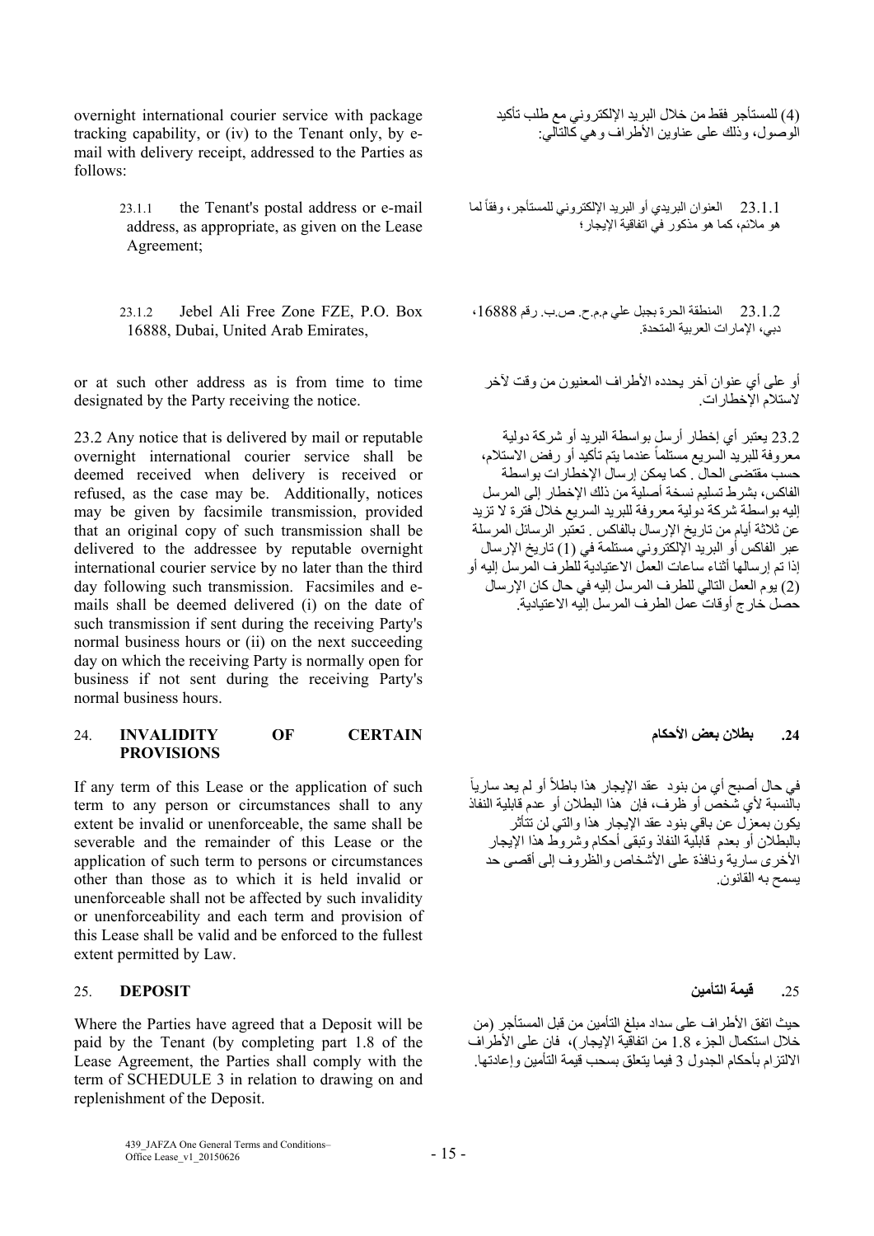overnight international courier service with package tracking capability, or (iv) to the Tenant only, by email with delivery receipt, addressed to the Parties as follows:

> 23.1.1 the Tenant's postal address or e-mail address, as appropriate, as given on the Lease Agreement;

> 23.1.2 Jebel Ali Free Zone FZE, P.O. Box 16888, Dubai, United Arab Emirates,

or at such other address as is from time to time designated by the Party receiving the notice.

23.2 Any notice that is delivered by mail or reputable overnight international courier service shall be deemed received when delivery is received or refused, as the case may be. Additionally, notices may be given by facsimile transmission, provided that an original copy of such transmission shall be delivered to the addressee by reputable overnight international courier service by no later than the third day following such transmission. Facsimiles and emails shall be deemed delivered (i) on the date of such transmission if sent during the receiving Party's normal business hours or (ii) on the next succeeding day on which the receiving Party is normally open for business if not sent during the receiving Party's normal business hours.

### **.24 بطالن بعض األحكام CERTAIN OF INVALIDITY** 24. **PROVISIONS**

If any term of this Lease or the application of such term to any person or circumstances shall to any extent be invalid or unenforceable, the same shall be severable and the remainder of this Lease or the application of such term to persons or circumstances other than those as to which it is held invalid or unenforceable shall not be affected by such invalidity or unenforceability and each term and provision of this Lease shall be valid and be enforced to the fullest extent permitted by Law.

### **.**25 **قيمة التأمين DEPOSIT** 25.

Where the Parties have agreed that a Deposit will be paid by the Tenant (by completing part 1.8 of the Lease Agreement, the Parties shall comply with the term of SCHEDULE 3 in relation to drawing on and replenishment of the Deposit.

(4) للمستأجر فقط من خالل البريد اإللكتروني مع طلب تأكيد الوصول، وذلك على عناوين األطراف وھي كالتالي:

23.1.1 العنوان البريدي أو البريد الإلكتروني للمستأجر، وفقاً لما ھو مالئم، كما ھو مذكور في اتفاقية اإليجار؛

23.1.2 المنطقة الحرة بجبل علي م.م.ح. ص.ب. رقم ،16888 دبي، اإلمارات العربية المتحدة.

أو على أي عنوان آخر يحدده الأطراف المعنيون من وقت لآخر الستالم اإلخطارات.

23.2 يعتبر أي إخطار أرسل بواسطة البريد أو شركة دولية معروفة للبريد السريع مستلماً عندما يتم تأكيد أو رفض الاستلام، حسب مقتضى الحال . كما يمكن إرسال اإلخطارات بواسطة الفاكس، بشرط تسليم نسخة أصلية من ذلك اإلخطار إلى المرسل إليه بواسطة شركة دولية معروفة للبريد السريع خالل فترة ال تزيد عن ثلاثة أيام من تاريخ الإرسال بالفاكس . تعتبر الرسائل المرسلة عبر الفاكس أو البريد اإللكتروني مستلمة في (1) تاريخ اإلرسال إذا تم إرسالھا أثناء ساعات العمل االعتيادية للطرف المرسل إليه أو (2) يوم العمل التالي للطرف المرسل إليه في حال كان اإلرسال حصل خارج أوقات عمل الطرف المرسل إليه االعتيادية.

في حال أصبح أي من بنود عقد الإيجار هذا باطلأ أو لم يعد سارياً بالنسبة ألي شخص أو ظرف، فإن ھذا البطالن أو عدم قابلية النفاذ يكون بمعزل عن باقي بنود عقد اإليجار ھذا والتي لن تتأثر بالبطالن أو بعدم قابلية النفاذ وتبقى أحكام وشروط ھذا اإليجار الأخرى سارية ونافذة على الأشخاص والظروف إلى أقصى حد يسمح به القانون.

حيث اتفق الأطر اف على سداد مبلغ التأمين من قبل المستأجر (من خلال استكمال الجزء 8.8 من اتفاقية الإيجار )، فان على الأطر اف االلتزام بأحكام الجدول 3 فيما يتعلق بسحب قيمة التأمين وإعادتھا.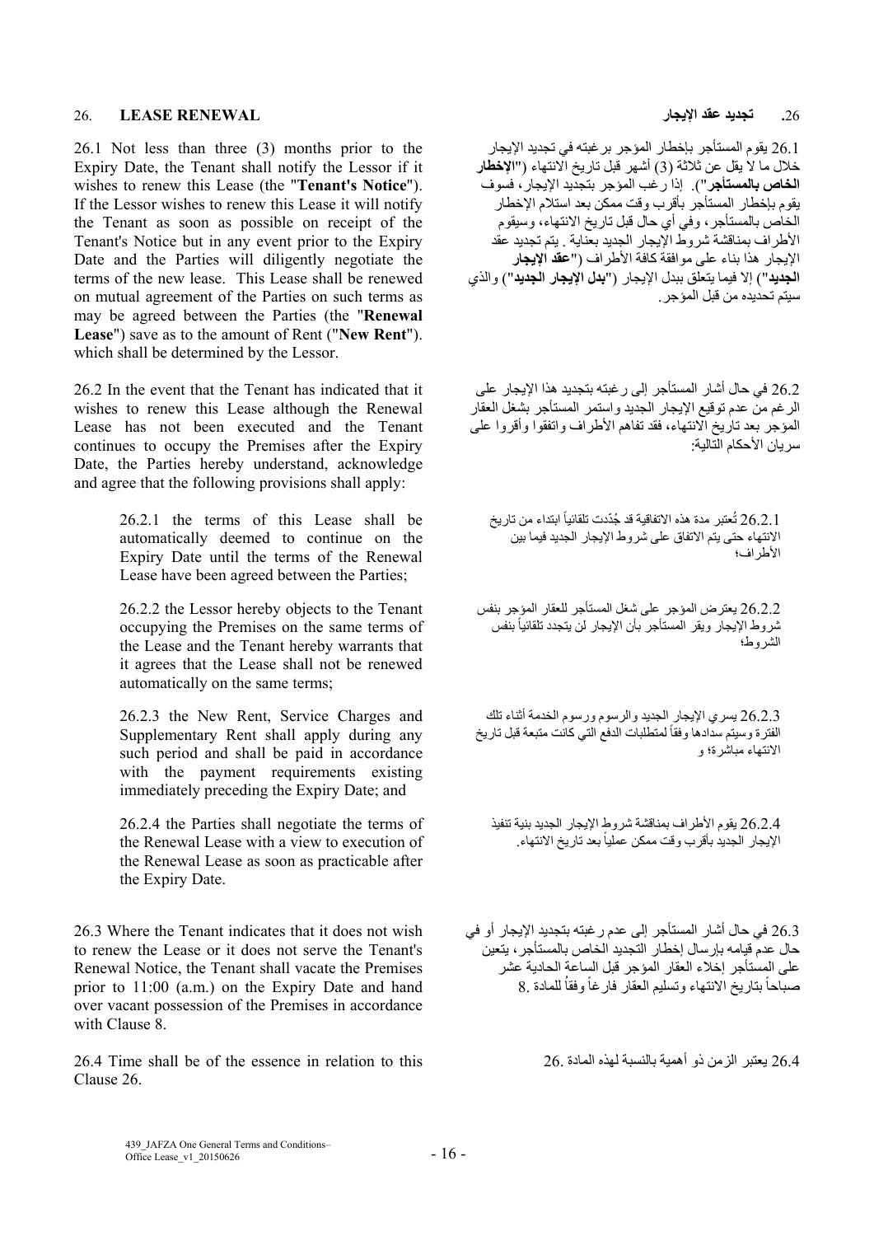### **.**26 **تجديد عقد اإليجار RENEWAL LEASE** 26.

26.1 Not less than three (3) months prior to the Expiry Date, the Tenant shall notify the Lessor if it wishes to renew this Lease (the "**Tenant's Notice**"). If the Lessor wishes to renew this Lease it will notify the Tenant as soon as possible on receipt of the Tenant's Notice but in any event prior to the Expiry Date and the Parties will diligently negotiate the terms of the new lease. This Lease shall be renewed on mutual agreement of the Parties on such terms as may be agreed between the Parties (the "**Renewal Lease**") save as to the amount of Rent ("**New Rent**"). which shall be determined by the Lessor.

26.2 In the event that the Tenant has indicated that it wishes to renew this Lease although the Renewal Lease has not been executed and the Tenant continues to occupy the Premises after the Expiry Date, the Parties hereby understand, acknowledge and agree that the following provisions shall apply:

> 26.2.1 the terms of this Lease shall be automatically deemed to continue on the Expiry Date until the terms of the Renewal Lease have been agreed between the Parties;

> 26.2.2 the Lessor hereby objects to the Tenant occupying the Premises on the same terms of the Lease and the Tenant hereby warrants that it agrees that the Lease shall not be renewed automatically on the same terms;

> 26.2.3 the New Rent, Service Charges and Supplementary Rent shall apply during any such period and shall be paid in accordance with the payment requirements existing immediately preceding the Expiry Date; and

> 26.2.4 the Parties shall negotiate the terms of the Renewal Lease with a view to execution of the Renewal Lease as soon as practicable after the Expiry Date.

26.3 Where the Tenant indicates that it does not wish to renew the Lease or it does not serve the Tenant's Renewal Notice, the Tenant shall vacate the Premises prior to 11:00 (a.m.) on the Expiry Date and hand over vacant possession of the Premises in accordance with Clause 8.

26.4 Time shall be of the essence in relation to this 26. المادة لھذه بالنسبة أھمية ذو الزمن يعتبر 26.4 Clause 26.

26.1 يقوم المستأجر بإخطار المؤجر برغبته في تجديد اإليجار خالل ما ال يقل عن ثالثة (3) أشھر قبل تاريخ االنتھاء ("**اإلخطار الخاص بالمستأجر**"). إذا رغب المؤجر بتجديد اإليجار، فسوف يقوم بإخطار المستأجر بأقرب وقت ممكن بعد استالم اإلخطار الخاص بالمستأجر، وفي أي حال قبل تاريخ االنتھاء، وسيقوم األطراف بمناقشة شروط اإليجار الجديد بعناية . يتم تجديد عقد اإليجار ھذا بناء على موافقة كافة األطراف ("**عقد اإليجار الجديد**") إال فيما يتعلق ببدل اإليجار ("**بدل اإليجار الجديد**") والذي سيتم تحديده من قبل المؤجر.

26.2 في حال أشار المستأجر إلى رغبته بتجديد ھذا اإليجار على الرغم من عدم توقيع اإليجار الجديد واستمر المستأجر بشغل العقار المؤجر بعد تاريخ الانتھاء، فقد تفاهم الأطراف واتفقوا وأقروا على سر بان الأحكام التالية·

ً ابتداء من تاريخ ُعتبر مدة ھذه االتفاقية قد ُجّددت تلقائيا 26.2.1 ت االنتھاء حتى يتم االتفاق على شروط اإليجار الجديد فيما بين األطراف؛

26.2.2 يعترض المؤجر على شغل المستأجر للعقار المؤجر بنفس ثىروط الإيجار ويقر المستأجر بأن الإيجار لن يتجدد تلقائياً بنفس الشروط؛

26.2.3 يسري اإليجار الجديد والرسوم ورسوم الخدمة أثناء تلك الفترة وسيتم سدادها وفقاً لمتطلبات الدفع التي كانت متبعة قبل تاريخ االنتھاء مباشرة؛ و

26.2.4 يقوم األطراف بمناقشة شروط اإليجار الجديد بنية تنفيذ الإيجار الجديد بأقرب وقت ممكن عملياً بعد تاريخ الانتهاء

26.3 في حال أشار المستأجر إلى عدم رغبته بتجديد اإليجار أو في حال عدم قيامه بإرسال إخطار التجديد الخاص بالمستأجر، يتعين على المستأجر إخالء العقار المؤجر قبل الساعة الحادية عشر صباحاً بتاريخ الانتهاء وتسليم العقار فارغاً وفقاُ للمادة .8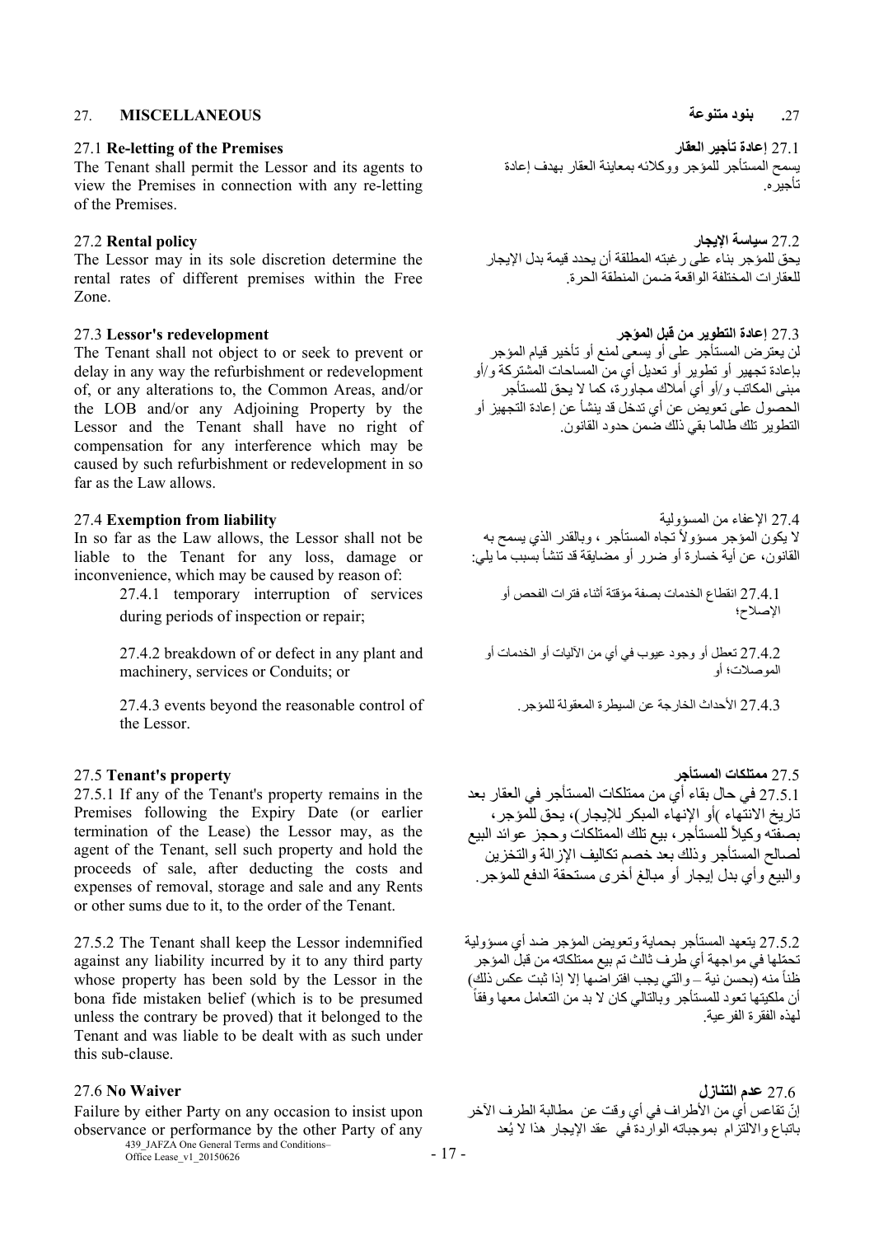### **.**27 **بنود متنوعة MISCELLANEOUS** 27.

The Tenant shall permit the Lessor and its agents to view the Premises in connection with any re-letting of the Premises.

The Lessor may in its sole discretion determine the rental rates of different premises within the Free Zone.

The Tenant shall not object to or seek to prevent or delay in any way the refurbishment or redevelopment of, or any alterations to, the Common Areas, and/or the LOB and/or any Adjoining Property by the Lessor and the Tenant shall have no right of compensation for any interference which may be caused by such refurbishment or redevelopment in so far as the Law allows.

In so far as the Law allows, the Lessor shall not be liable to the Tenant for any loss, damage or inconvenience, which may be caused by reason of:

> 27.4.1 temporary interruption of services during periods of inspection or repair;

> 27.4.2 breakdown of or defect in any plant and machinery, services or Conduits; or

27.4.3 األحداث الخارجة عن السيطرة المعقولة للمؤجر. of control reasonable the beyond events 27.4.3 the Lessor.

27.5.1 If any of the Tenant's property remains in the Premises following the Expiry Date (or earlier termination of the Lease) the Lessor may, as the agent of the Tenant, sell such property and hold the proceeds of sale, after deducting the costs and expenses of removal, storage and sale and any Rents or other sums due to it, to the order of the Tenant.

27.5.2 The Tenant shall keep the Lessor indemnified against any liability incurred by it to any third party whose property has been sold by the Lessor in the bona fide mistaken belief (which is to be presumed unless the contrary be proved) that it belonged to the Tenant and was liable to be dealt with as such under this sub-clause.

Failure by either Party on any occasion to insist upon observance or performance by the other Party of any

439\_JAFZA One General Terms and Conditions-<br>Office Lease\_v1\_20150626 - 17 -

27.1 **Re-letting of the Premises العقار تأجير إعادة** 27.1 يسمح المستأجر للمؤجر ووكالئه بمعاينة العقار بھدف إعادة تأجيره.

27.2 **سياسة اإليجار policy Rental** 27.2 يحق للمؤجر بناء على رغبته المطلقة أن يحدد قيمة بدل اإليجار للعقارات المختلفة الواقعة ضمن المنطقة الحرة.

27.3 **إعادة التطوير من قبل المؤجر redevelopment s'Lessor** 27.3 لن يعترض المستأجر على أو يسعى لمنع أو تأخير قيام المؤجر بإعادة تجھير أو تطوير أو تعديل أي من المساحات المشتركة و/أو مبنى المكاتب و/أو أي أمالك مجاورة، كما ال يحق للمستأجر الحصول على تعويض عن أي تدخل قد ينشأ عن إعادة التجھيز أو التطوير تلك طالما بقي ذلك ضمن حدود القانون.

27.4 اإلعفاء من المسؤولية **liability from Exemption** 27.4 لا يكون المؤجر مسؤولاً تجاه المستأجر ، وبالقدر الذي يسمح به القانون، عن أية خسارة أو ضرر أو مضايقة قد تنشأ بسبب ما يلي:

> 27.4.1 انقطاع الخدمات بصفة مؤقتة أثناء فترات الفحص أو اإلصالح؛

27.4.2 تعطل أو وجود عيوب في أي من اآلليات أو الخدمات أو الموصالت؛ أو

# 27.5 **Tenant's property المستأجر ممتلكات** 27.5 27.5.1 في حال بقاء أي من ممتلكات المستأجر في العقار بعد تاريخ االنتھاء )أو اإلنھاء المبكر لإليجار)، يحق للمؤجر، بصفته وكيلأ للمستأجر ، بيع نلك الممتلكات وحجز عوائد البيع لصالح المستأجر وذلك بعد خصم تكاليف اإلزالة والتخزين والبيع وأي بدل إيجار أو مبالغ أخرى مستحقة الدفع للمؤجر.

27.5.2 يتعھد المستأجر بحماية وتعويض المؤجر ضد أي مسؤولية تحملها في مواجهة أي طرف ثالث تم بيع ممتلكاته من قبل المؤجر<br>ظناً منه (بحسن نية ــ والتي يجب افتر اضـها إلا إذا ثبت عكس ذلك) ظناً منه (بحسن نية ــ والتي يجب افتر اضّــها إلا إذا ثبت عكس ذلك)<br>أن ملكيتها تعود للمستأجر وبالتالي كان لا بد من التعامل معها وفقاً لھذه الفقرة الفرعية.

27.6 **عدم التنازل Waiver No** 27.6 إنّ تقاعس أي من الأطراف في أي وقت عن مطالبة الطرف الآخر باتباع وااللتزام بموجباته الواردة في عقد اإليجار ھذا ال يُعد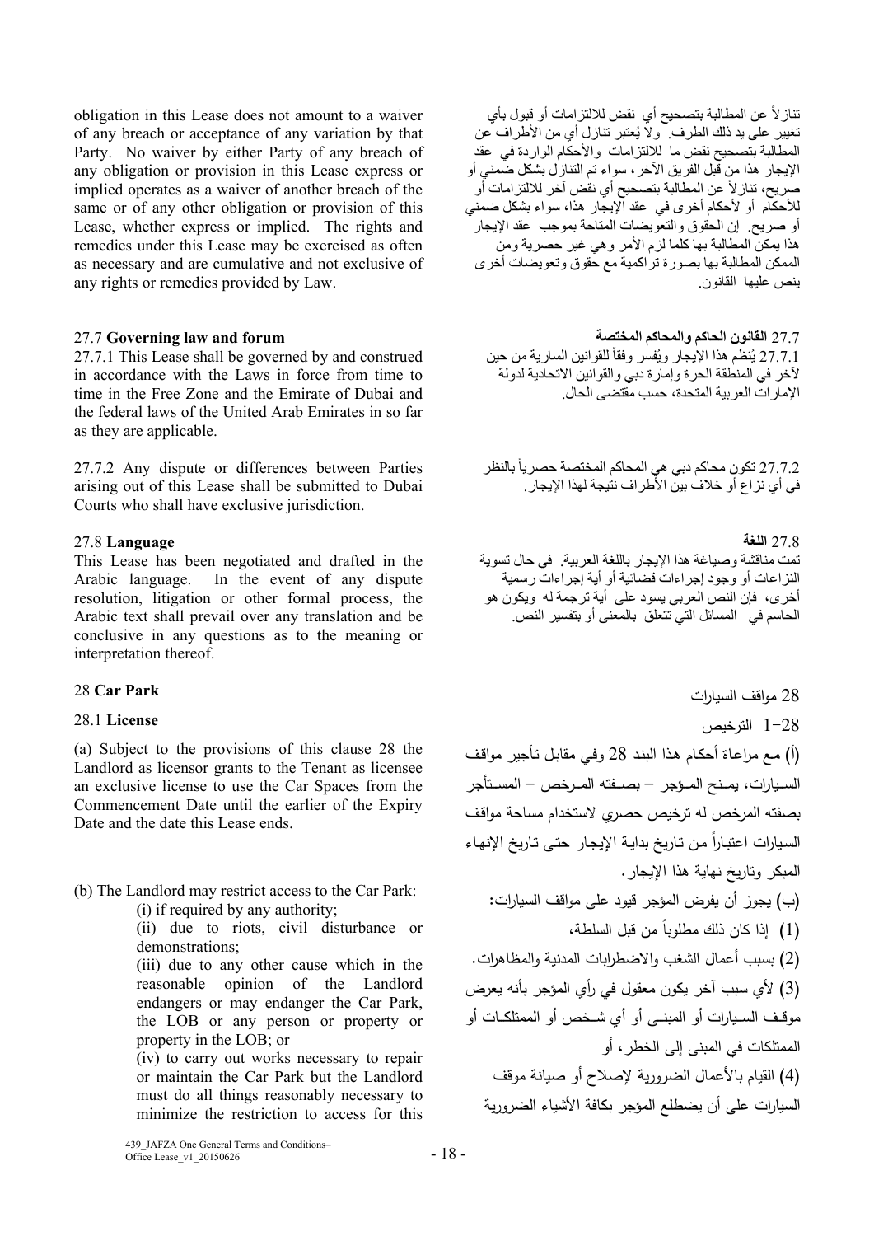obligation in this Lease does not amount to a waiver of any breach or acceptance of any variation by that Party. No waiver by either Party of any breach of any obligation or provision in this Lease express or implied operates as a waiver of another breach of the same or of any other obligation or provision of this Lease, whether express or implied. The rights and remedies under this Lease may be exercised as often as necessary and are cumulative and not exclusive of any rights or remedies provided by Law.

27.7.1 This Lease shall be governed by and construed in accordance with the Laws in force from time to time in the Free Zone and the Emirate of Dubai and the federal laws of the United Arab Emirates in so far as they are applicable.

27.7.2 Any dispute or differences between Parties arising out of this Lease shall be submitted to Dubai Courts who shall have exclusive jurisdiction.

# 27.8 **اللغة Language** 27.8

This Lease has been negotiated and drafted in the Arabic language. In the event of any dispute resolution, litigation or other formal process, the Arabic text shall prevail over any translation and be conclusive in any questions as to the meaning or interpretation thereof.

# 28 Car Park

### **License** 28.1

(a) Subject to the provisions of this clause 28 the Landlord as licensor grants to the Tenant as licensee an exclusive license to use the Car Spaces from the Commencement Date until the earlier of the Expiry Date and the date this Lease ends.

(b) The Landlord may restrict access to the Car Park:

(i) if required by any authority;

(ii) due to riots, civil disturbance or demonstrations;

(iii) due to any other cause which in the reasonable opinion of the Landlord endangers or may endanger the Car Park, the LOB or any person or property or property in the LOB; or

(iv) to carry out works necessary to repair or maintain the Car Park but the Landlord must do all things reasonably necessary to minimize the restriction to access for this

تناز لاً عن المطالبة بتصحيح أي نقض للالتزامات أو قبول بأي تغيير على يد ذلك الطرف. وال يُعتبر تنازل أي من األطراف عن المطالبة بتصحيح نقض ما لاللتزامات واألحكام الواردة في عقد اإليجار ھذا من قبل الفريق اآلخر، سواء تم التنازل بشكل ضمني أو صريح، تناز لأ عن المطالبة بتصحيح أي نقض آخر للالتزامات أو لألحكام أو ألحكام أخرى في عقد اإليجار ھذا، سواء بشكل ضمني أو صريح. إن الحقوق والتعويضات المتاحة بموجب عقد اإليجار ھذا يمكن المطالبة بھا كلما لزم األمر وھي غير حصرية ومن الممكن المطالبة بھا بصورة تراكمية مع حقوق وتعويضات أخرى ينص عليھا القانون.

27.7 **القانون الحاكم والمحاكم المختصة forum and law Governing** 27.7 27.7.1 يُنظم هذا الإيجار ويُفسر وفقاً للقوانين السارية من حين آلخر في المنطقة الحرة وإمارة دبي والقوانين االتحادية لدولة اإلمارات العربية المتحدة، حسب مقتضى الحال.

> 27.7.2 تكون محاكم دبي هي المحاكم المختصة حصرياً بالنظر في أي نزاع أو خالف بين األطراف نتيجة لھذا اإليجار.

تمت مناقشة وصياغة ھذا اإليجار باللغة العربية. في حال تسوية النزاعات أو وجود إجراءات قضائية أو أية إجراءات رسمية أخرى، فإن النص العربي يسود على أية ترجمة له ويكون ھو الحاسم في المسائل التي تتعلق بالمعنى أو بتفسير النص.

# 28 مواقف السيارات

 1-28 الترخيص (أ) مـع مراعـاة أحكـام هـذا البنـد 28 وفـي مقابـل تـأجير مواقـف الســــيارات، يمــــنح المــــؤجر – بصــــفته المــــرخص – المســــتأجر بصفته المرخص له ترخيص حصري لاستخدام مساحة مواقـف السيارات اعتبارا من تاريخ بدايـة الإيجـار حتـى تـاريخ الإنهـاء المبكر وتاريخ نهاية هذا الإيجار. (ب) يجوز أن يفرض المؤجر قيود على مواقف السيارات: ً من قبل السلطة، (1) إذا كان ذلك مطلوبا (2) بسبب أعمال الشغب والاضطرابات المدنية والمظاهرات. (3) لأي سبب آخر يكون معقول في رأي المؤجر بأنه يعرض موقــف الســـيارات أو المبنـــى أو أي شـــخص أو الممتلكــــات أو الممتلكات في المبنى إلى الخطر، أو (4) القيام بالأعمال الضرورية لإصلاح أو صيانة موقف

السيارات على أن يضطلع المؤجر بكافة الأشياء الضرورية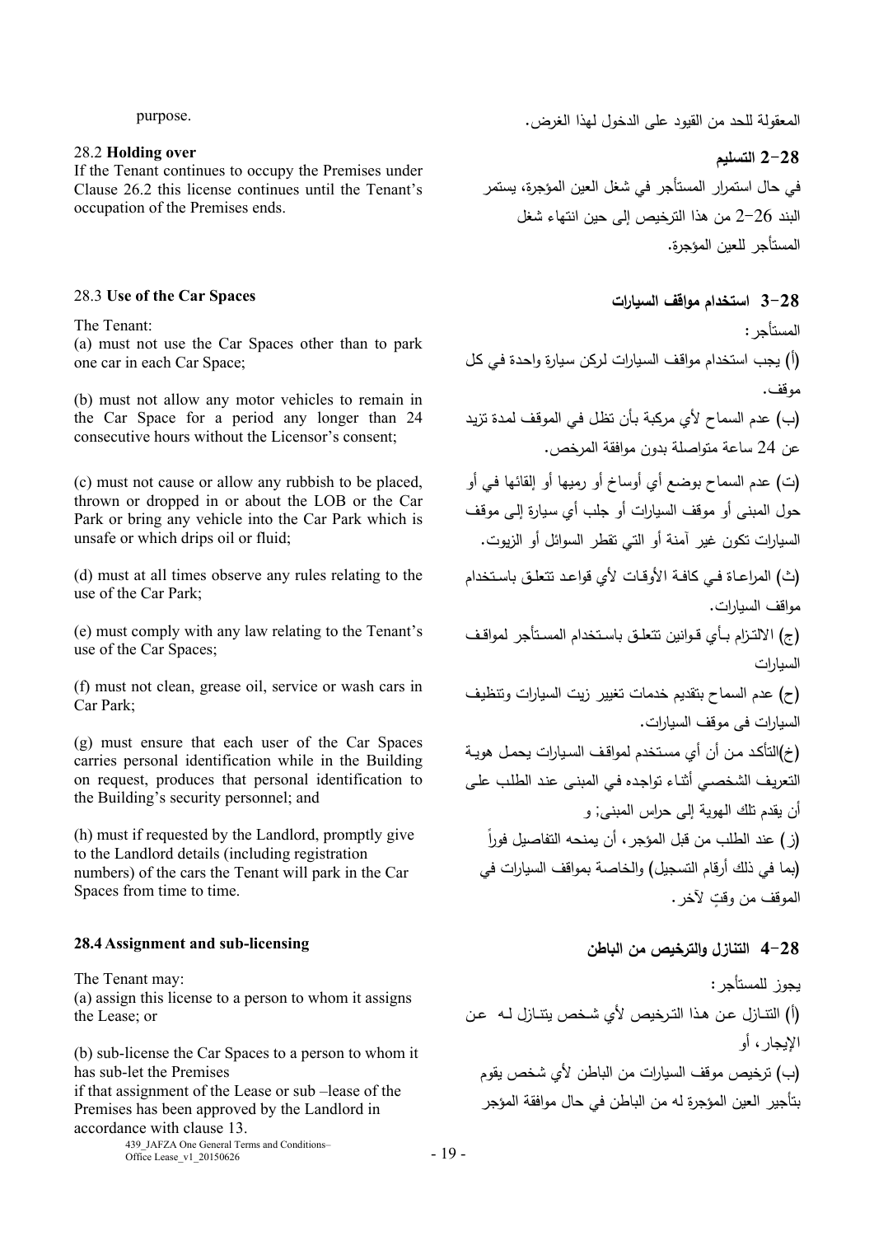### purpose.

# 28.2 **Holding over**

If the Tenant continues to occupy the Premises under Clause 26.2 this license continues until the Tenant's occupation of the Premises ends.

The Tenant:

(a) must not use the Car Spaces other than to park one car in each Car Space;

(b) must not allow any motor vehicles to remain in the Car Space for a period any longer than 24 consecutive hours without the Licensor's consent;

(c) must not cause or allow any rubbish to be placed, thrown or dropped in or about the LOB or the Car Park or bring any vehicle into the Car Park which is unsafe or which drips oil or fluid;

(d) must at all times observe any rules relating to the use of the Car Park;

(e) must comply with any law relating to the Tenant's use of the Car Spaces;

(f) must not clean, grease oil, service or wash cars in Car Park;

(g) must ensure that each user of the Car Spaces carries personal identification while in the Building on request, produces that personal identification to the Building's security personnel; and

(h) must if requested by the Landlord, promptly give to the Landlord details (including registration numbers) of the cars the Tenant will park in the Car Spaces from time to time.

### **28.4** Assignment and sub-licensing

The Tenant may: (a) assign this license to a person to whom it assigns the Lease; or

(b) sub-license the Car Spaces to a person to whom it has sub-let the Premises if that assignment of the Lease or sub –lease of the

Premises has been approved by the Landlord in accordance with clause 13.

439\_JAFZA One General Terms and Conditions–  $\frac{435}{2}$ JAFZA One General Terms and Conditions -  $19 - 19$  المعقولة للحد من القيود على الدخول لهذا الغرض.

**2-28 التسليم** 

في حال استمرار المستأجر في شغل العين المؤجرة، يستمر البند 2-26 من هذا الترخيص إلى حين انتهاء شغل المستأجر للعين المؤجرة.

# **السيارات مواقف استخدام 3-28** 28.3 **Use of the Car Spaces**

المستأجر: (أ) يجب استخدام مواقـف السـيارات لـركن سـيارة واحـدة فـي كـل موقف. (ب) عدم السماح لأي مركبة بـأن تظـل فـي الموقـف لمـدة تزيـد عن <sup>24</sup> ساعة متواصلة بدون موافقة المرخص. (ت) عدم السماح بوضع أي أوساخ أو رميها أو إلقائها فـي أو حول المبنى أو موقف السيارات أو جلب أي سـيارة إلـى موقـف السيارات تكون غير آمنة أو التي تقطر السوائل أو الزيوت. (ث) المراعــاة فــي كافــة الأوقــات لأي قواعــد تتعلــق باســتخدام مواقف السيارات. (ج) الالتــزام بــأي قــوانين تتعلــق باســتخدام المســتأجر لمواقــف السيارات (ح) عدم السماح بتقديم خدمات تغيير زيت السيارات وتنظيـف السيارات فى موقف السيارات. (خ)التأكـد مـن أن أي مســتخدم لمواقـف الســيارات يحمـل هويـة التعريـف الشخصـي أثنـاء تواجـده فـي المبنـى عنـد الطلـب علـى أن يقدم تلك الهوية إلى حراس المبنى; و ً (ز) عند الطلب من قبل المؤجر، أن يمنحه التفاصيل فورا (بما في ذلك أرقام التسجيل) والخاصة بمواقف السيارات في الموقف من ٍ وقت لآخر.

## **4-28 التنازل والترخيص من الباطن**

يجوز للمستأجر: (أ) التنــازل عــن هــذا التــرخيص لأي شــخص يتنــازل لــه عــن الإيجار، أو (ب) ترخيص موقف السيارات من الباطن لأي شخص يقوم بتأجير العين المؤجرة له من الباطن في حال موافقة المؤجر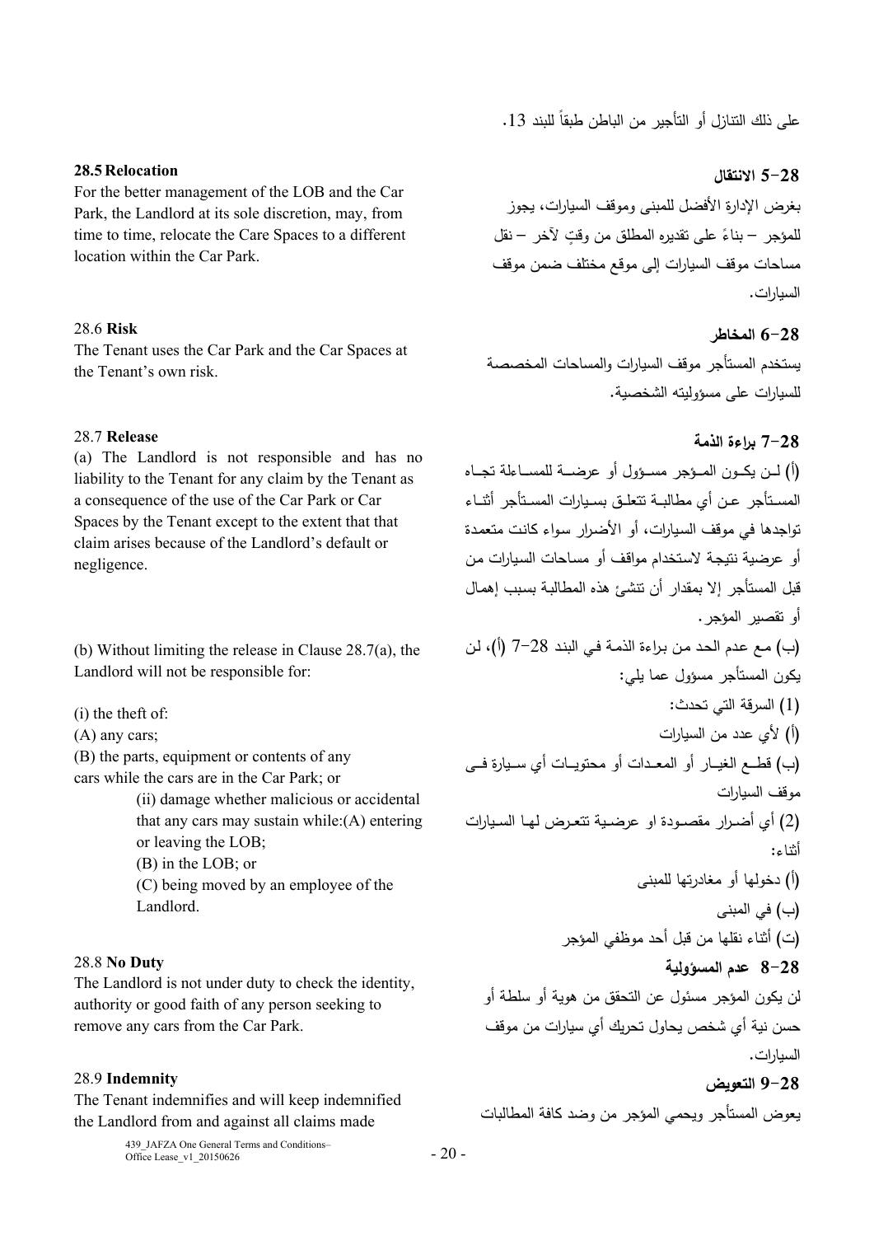على ذلك النتازل أو التأجير من الباطن طبقا للبند 13.

# **5-28 الانتقال**

بغرض الإدارة الأفضل للمبنى وموقف السيارات، يجوز لمؤجر – بناءً على تقديره المطلق من وقتٍ لأخر – نقل مساحات موقف السيارات إلى موقع مختلف ضمن موقف السيارات.

# **6-28 المخاطر**

يستخدم المستأجر موقف السيارات والمساحات المخصصة للسيارات على مسؤوليته الشخصية.

# **7-28 براءة الذمة**

(أ) لـــن يكـــون المـــــؤجر مســـؤول أو عرضـــــة للمســـــاءلة تجـــاه المســـتأجر عــن أي مطالبـــة تتعلـــق بســـيارات المســـتأجر أثنـــاء تواجدها في موقف السـيارات، أو الأضـرار سـواء كانـت متعمـدة أو عرضية نتيجـة لاسـتخدام مواقـف أو مسـاحات السـيارات مـن قبل المستأجر إلا بمقدار أن تنشئ هذه المطالبـة بسـبب إهمـال أو تقصير المؤجر. (ب) مـع عـدم الحـد مـن بـراءة الذمـة فـي البنـد 7-28 (أ)، لـن يكون المستأجر مسؤول عما يلي: (1) السرقة التي تحدث: (أ) لأي عدد من السيارات (ب) قطـــع الغيـــار أو المعـــدات أو محتويـــات أي ســـيارة فـــى موقف السيارات (2) أي أضـــرار مقصـــودة او عرضـــية تتعـــرض لهـــا الســـيارات أثناء: (أ) دخولها أو مغادرتها للمبنى (ب) في المبنى (ت) أثناء نقلها من قبل أحد موظفي المؤجر **8-28 عدم المسؤولية**  لن يكون المؤجر مسئول عن التحقق من هوية أو سلطة أو حسن نية أي شخص يحاول تحريك أي سيارات من موقف السيارات. **9-28 التعويض** 

يعوض المستأجر ويحمي المؤجر من وضد كافة المطالبات

# **28.5 Relocation**

For the better management of the LOB and the Car Park, the Landlord at its sole discretion, may, from time to time, relocate the Care Spaces to a different location within the Car Park.

# 28.6 **Risk**

The Tenant uses the Car Park and the Car Spaces at the Tenant's own risk.

# 28.7 **Release**

(a) The Landlord is not responsible and has no liability to the Tenant for any claim by the Tenant as a consequence of the use of the Car Park or Car Spaces by the Tenant except to the extent that that claim arises because of the Landlord's default or negligence.

(b) Without limiting the release in Clause 28.7(a), the Landlord will not be responsible for:

(i) the theft of:

(A) any cars;

(B) the parts, equipment or contents of any cars while the cars are in the Car Park; or

> (ii) damage whether malicious or accidental that any cars may sustain while:(A) entering or leaving the LOB; (B) in the LOB; or (C) being moved by an employee of the Landlord.

# 28.8 **No Duty**

The Landlord is not under duty to check the identity, authority or good faith of any person seeking to remove any cars from the Car Park.

### 28.9 **Indemnity**

The Tenant indemnifies and will keep indemnified the Landlord from and against all claims made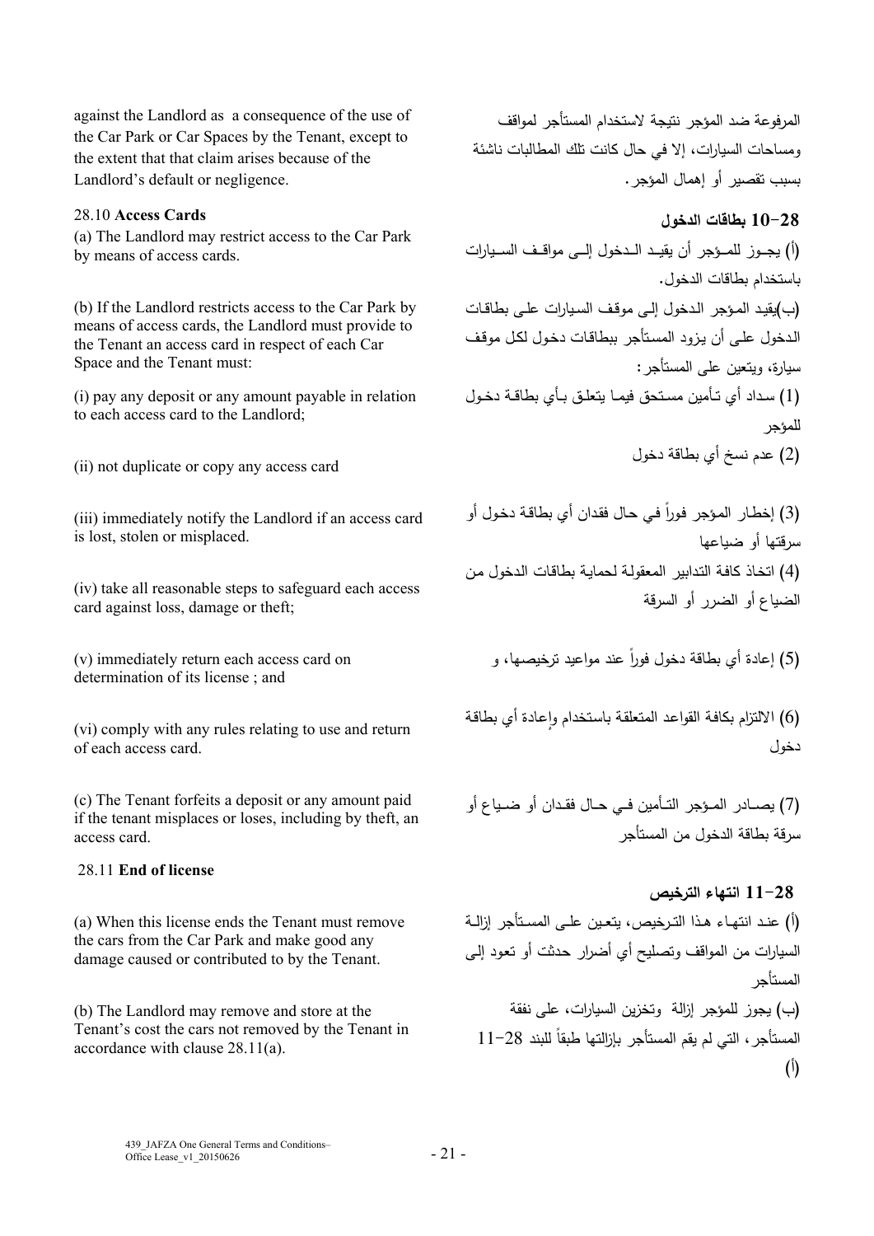against the Landlord as a consequence of the use of the Car Park or Car Spaces by the Tenant, except to the extent that that claim arises because of the Landlord's default or negligence.

### 28.10 **Access Cards**

(a) The Landlord may restrict access to the Car Park by means of access cards.

(b) If the Landlord restricts access to the Car Park by means of access cards, the Landlord must provide to the Tenant an access card in respect of each Car Space and the Tenant must:

(i) pay any deposit or any amount payable in relation to each access card to the Landlord;

(ii) not duplicate or copy any access card

(iii) immediately notify the Landlord if an access card is lost, stolen or misplaced.

(iv) take all reasonable steps to safeguard each access card against loss, damage or theft;

(v) immediately return each access card on determination of its license ; and

(vi) comply with any rules relating to use and return of each access card.

(c) The Tenant forfeits a deposit or any amount paid if the tenant misplaces or loses, including by theft, an access card.

### 28.11 **End of license**

(a) When this license ends the Tenant must remove the cars from the Car Park and make good any damage caused or contributed to by the Tenant.

(b) The Landlord may remove and store at the Tenant's cost the cars not removed by the Tenant in accordance with clause 28.11(a).

المرفوعة ضد المؤجر نتيجة لاستخدام المستأجر لمواقف ومساحات السيارات، إلا في حال كانت تلك المطالبات ناشئة بسبب تقصير أو إهمال المؤجر.

**10-28 بطاقات الدخول** 

(أ) يجـــوز للمـــؤجر أن يقيـــــد الـــدخول إلـــى مواقـــف الســـــيارات باستخدام بطاقات الدخول. (ب)يقيــد المـؤجر الـدخول إلـى موقـف الســيارات علـى بطاقــات الـدخول علـى أن يـزود المسـتأجر ببطاقـات دخـول لكـل موقـف سيارة، ويتعين على المستأجر: (1) ســداد أي تــأمين مســتحق فيمــا يتعلــق بــأي بطاقــة دخــول للمؤجر (2) عدم نسخ أي بطاقة دخول

(3) إخطـار المؤجر فورا في حـال فقدان أي بطاقـة دخـول أو سرقتها أو ضياعها (4) اتخـاذ كافـة التـدابير المعقولـة لحمايـة بطاقـات الـدخول مـن الضياع أو الضرر أو السرقة

(5) إعادة أي بطاقة دخول فورا عند مواعيد ترخيصها، و

(6) الالتزام بكافة القواعد المتعلقة باستخدام وإعادة أي بطاقة دخول

(7) يصـــادر المـــؤجر التـــأمين فـــي حــال فقــدان أو ضـــياع أو سرقة بطاقة الدخول من المستأجر

# **11-28 انتهاء الترخيص**

(أ) عنــد انتهـــاء هــذا التــرخيص، يتعـــين علــى المســـتأجر إزالــة السيارات من المواقف وتصليح أي أضرار حـدثت أو تعـود إلـى المستأجر (ب) يجوز للمؤجر إزالة وتخزين السيارات، على نفقة المستأجر ، التي لم يقم المستأجر بإزالتها طبقا للبند 28−11 (أ)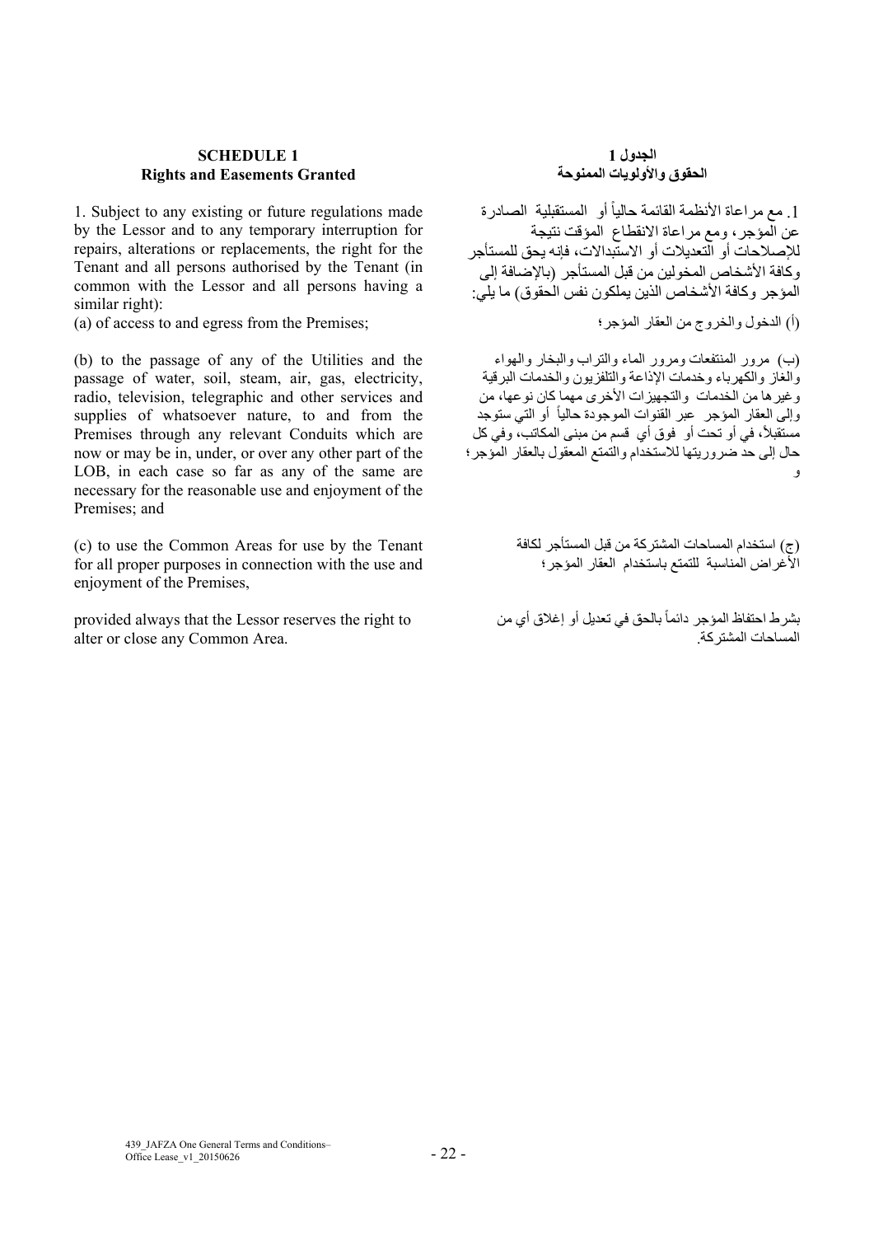### **SCHEDULE 1 Rights and Easements Granted**

1. Subject to any existing or future regulations made by the Lessor and to any temporary interruption for repairs, alterations or replacements, the right for the Tenant and all persons authorised by the Tenant (in common with the Lessor and all persons having a similar right):

(a) of access to and egress from the Premises; المؤجر؛ العقار من والخروج الدخول) أ(

(b) to the passage of any of the Utilities and the passage of water, soil, steam, air, gas, electricity, radio, television, telegraphic and other services and supplies of whatsoever nature, to and from the Premises through any relevant Conduits which are now or may be in, under, or over any other part of the LOB, in each case so far as any of the same are necessary for the reasonable use and enjoyment of the Premises; and

(c) to use the Common Areas for use by the Tenant for all proper purposes in connection with the use and enjoyment of the Premises,

provided always that the Lessor reserves the right to alter or close any Common Area.

# **الجدول 1 الحقوق واألولويات الممنوحة**

1. مع مراعاة الأنظمة القائمة حالياً أو المستقبلية الصادرة عن المؤجر، ومع مراعاة االنقطاع المؤقت نتيجة لإلصالحات أو التعديالت أو االستبداالت، فإنه يحق للمستأجر وكافة الأشخاص المخولين من قبل المستأجر (بالإصافة إلى المؤجر وكافة األشخاص الذين يملكون نفس الحقوق) ما يلي:

(ب) مرور المنتفعات ومرور الماء والتراب والبخار والھواء والغاز والكھرباء وخدمات اإلذاعة والتلفزيون والخدمات البرقية وغيرھا من الخدمات والتجھيزات األخرى مھما كان نوعھا، من وإلى العقار المؤجر عبر القنوات الموجودة حالياً أو التي ستوجد مستقبلاً، في أو تحت أو فوق أي قسم من مبنى المكاتب، وفي كل حال إلى حد ضروريتھا لالستخدام والتمتع المعقول بالعقار المؤجر؛ و

> (ج) استخدام المساحات المشتركة من قبل المستأجر لكافة األغراض المناسبة للتمتع باستخدام العقار المؤجر؛

بشرط احتفاظ المؤجر دائماً بالحق في تعديل أو إغلاق أي من المساحات المشتركة.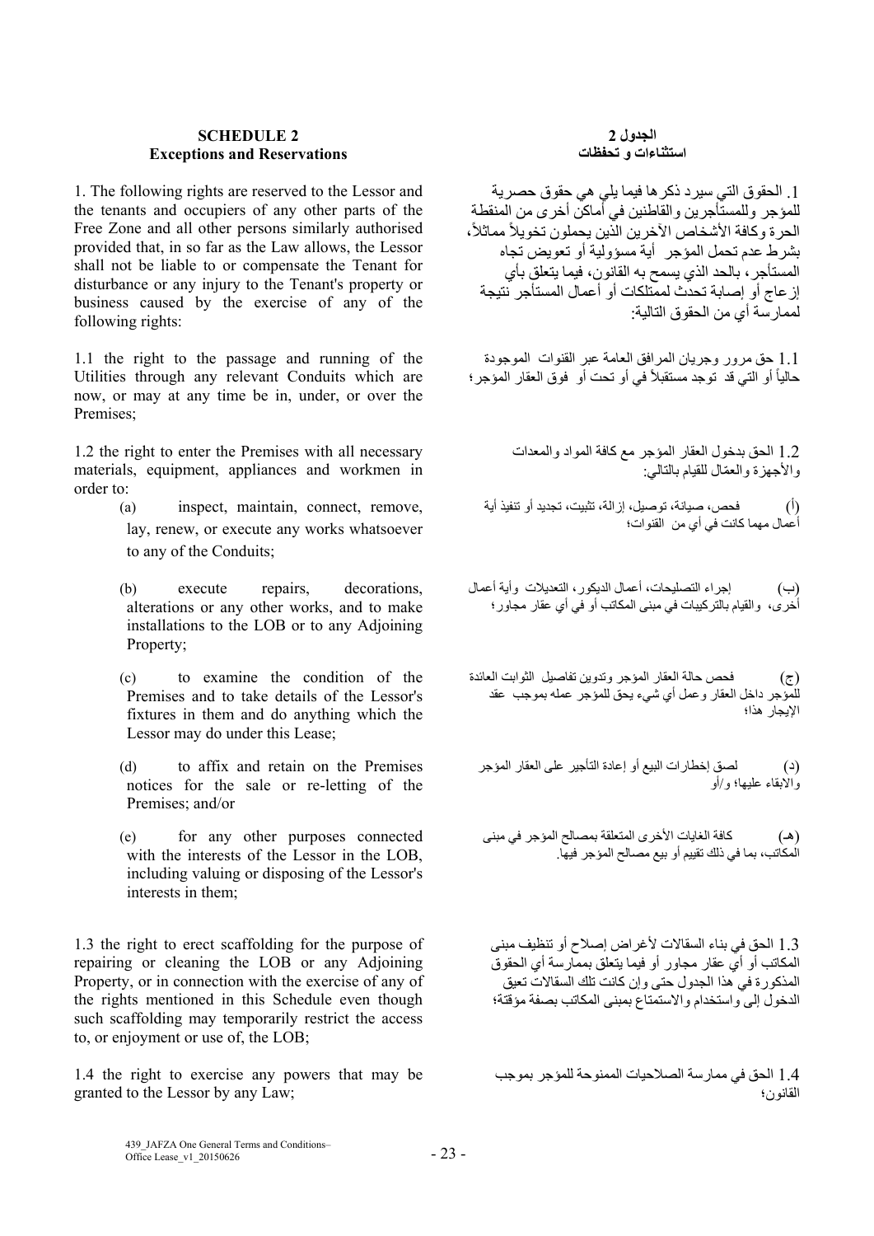### **SCHEDULE 2 Exceptions and Reservations**

1. The following rights are reserved to the Lessor and the tenants and occupiers of any other parts of the Free Zone and all other persons similarly authorised provided that, in so far as the Law allows, the Lessor shall not be liable to or compensate the Tenant for disturbance or any injury to the Tenant's property or business caused by the exercise of any of the following rights:

1.1 the right to the passage and running of the Utilities through any relevant Conduits which are now, or may at any time be in, under, or over the Premises;

1.2 the right to enter the Premises with all necessary materials, equipment, appliances and workmen in order to:

- (a) inspect, maintain, connect, remove, lay, renew, or execute any works whatsoever to any of the Conduits;
- (b) execute repairs, decorations, alterations or any other works, and to make installations to the LOB or to any Adjoining Property;
- (c) to examine the condition of the Premises and to take details of the Lessor's fixtures in them and do anything which the Lessor may do under this Lease;
- (d) to affix and retain on the Premises notices for the sale or re-letting of the Premises; and/or
- (e) for any other purposes connected with the interests of the Lessor in the LOB, including valuing or disposing of the Lessor's interests in them;

1.3 the right to erect scaffolding for the purpose of repairing or cleaning the LOB or any Adjoining Property, or in connection with the exercise of any of the rights mentioned in this Schedule even though such scaffolding may temporarily restrict the access to, or enjoyment or use of, the LOB;

1.4 the right to exercise any powers that may be granted to the Lessor by any Law;

### **الجدول 2 استثناءات و تحفظات**

.1 الحقوق التي سيرد ذكرھا فيما يلي ھي حقوق حصرية للمؤجر وللمستأجرين والقاطنين في أماكن أخرى من المنقطة الحرة وكافة الأشخاص الآخرين الذين يحملون تخويلاً مماثلاً، بشرط عدم تحمل المؤجر أية مسؤولية أو تعويض تجاه المستأجر، بالحد الذي يسمح به القانون، فيما يتعلق بأي إزعاج أو إصابة تحدث لممتلكات أو أعمال المستأجر نتيجة لممارسة أي من الحقوق التالية:

1.1 حق مرور وجريان المرافق العامة عبر القنوات الموجودة حالياً أو التي قد توجد مستقبلاً في أو تحت أو فوق العقار المؤجر ؛

> 1.2 الحق بدخول العقار المؤجر مع كافة المواد والمعدات واألجھزة ّ والعمال للقيام بالتالي:

(أ) فحص، صيانة، توصيل، إزالة، تثبيت، تجديد أو تنفيذ أية أعمال مھما كانت في أي من القنوات؛

(ب) إجراء التصليحات، أعمال الديكور، التعديالت وأية أعمال أخرى، والقيام بالتركيبات في مبنى المكاتب أو في أي عقار مجاور؛

(ج) فحص حالة العقار المؤجر وتدوين تفاصيل الثوابت العائدة للمؤجر داخل العقار وعمل أي شيء يحق للمؤجر عمله بموجب عقد اإليجار ھذا؛

(د) لصق إخطارات البيع أو إعادة التأجير على العقار المؤجر واالبقاء عليھا؛ و/أو

(ھـ) كافة الغايات األخرى المتعلقة بمصالح المؤجر في مبنى المكاتب، بما في ذلك تقييم أو بيع مصالح المؤجر فيھا.

1.3 الحق في بناء السقاالت ألغراض إصالح أو تنظيف مبنى المكاتب أو أي عقار مجاور أو فيما يتعلق بممارسة أي الحقوق المذكورة في ھذا الجدول حتى وإن كانت تلك السقاالت تعيق الدخول إلى واستخدام واالستمتاع بمبنى المكاتب بصفة مؤقتة؛

1.4 الحق في ممارسة الصالحيات الممنوحة للمؤجر بموجب القانون؛

439\_JAFZA One General Terms and Conditions–  $\frac{435}{201}$  Office Lease\_v1\_20150626 - 23 -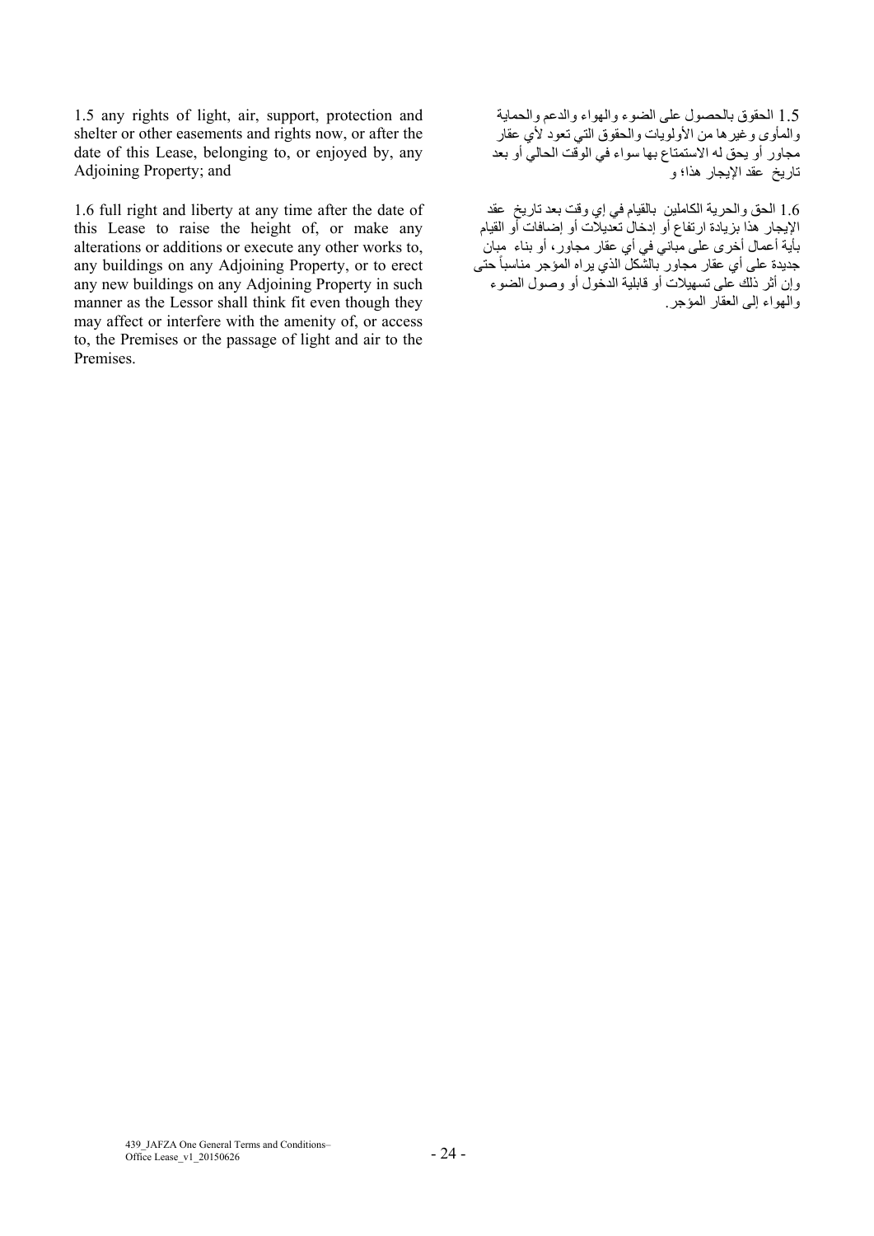1.5 any rights of light, air, support, protection and shelter or other easements and rights now, or after the date of this Lease, belonging to, or enjoyed by, any Adjoining Property; and

1.6 full right and liberty at any time after the date of this Lease to raise the height of, or make any alterations or additions or execute any other works to, any buildings on any Adjoining Property, or to erect any new buildings on any Adjoining Property in such manner as the Lessor shall think fit even though they may affect or interfere with the amenity of, or access to, the Premises or the passage of light and air to the Premises.

1.5 الحقوق بالحصول على الضوء والھواء والدعم والحماية والمأوى وغيرھا من األولويات والحقوق التي تعود ألي عقار مجاور أو يحق له االستمتاع بھا سواء في الوقت الحالي أو بعد تاريخ عقد اإليجار ھذا؛ و

1.6 الحق والحرية الكاملين بالقيام في إي وقت بعد تاريخ عقد اإليجار ھذا بزيادة ارتفاع أو إدخال تعديالت أو إضافات أو القيام بأية أعمال أخرى على مباني في أي عقار مجاور، أو بناء مبان جديدة على أي عقار مجاور بالشّكل الذي يراه المؤجر مناسباً حتى وإن أثر ذلك على تسھيالت أو قابلية الدخول أو وصول الضوء والھواء إلى العقار المؤجر.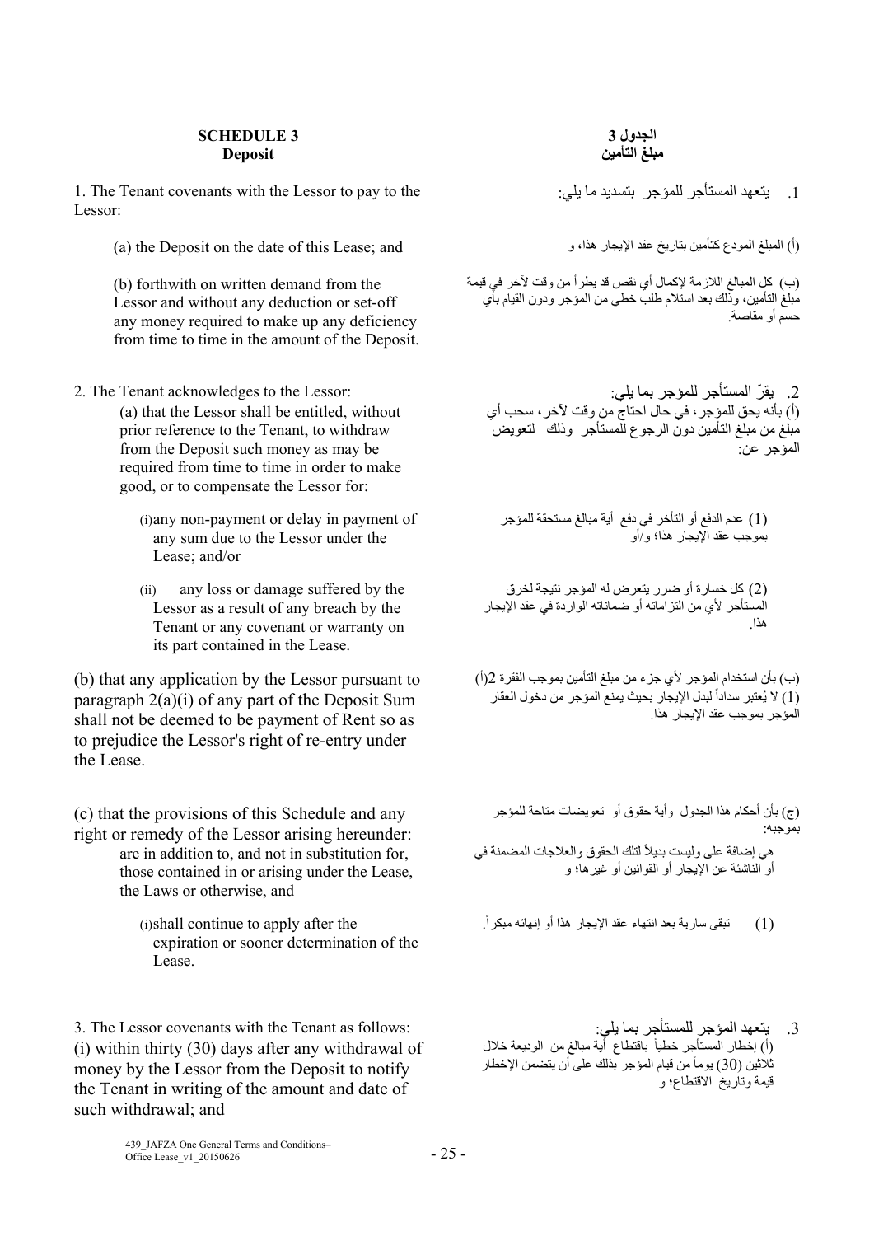### **SCHEDULE 3 Deposit**

1. The Tenant covenants with the Lessor to pay to the :يلي ما بتسديد للمؤجر المستأجر يتعھد .1 Lessor:

(1) المبلغ المودع كتأمين بتاريخ عقد الإيجار هذا، و (a) the Deposit on the date of this Lease; and

(b) forthwith on written demand from the Lessor and without any deduction or set-off any money required to make up any deficiency from time to time in the amount of the Deposit.

- 2. The Tenant acknowledges to the Lessor: :يلي بما للمؤجر المستأجر يقر ّ .2 (a) that the Lessor shall be entitled, without prior reference to the Tenant, to withdraw from the Deposit such money as may be required from time to time in order to make good, or to compensate the Lessor for:
	- (i)any non-payment or delay in payment of any sum due to the Lessor under the Lease; and/or
	- (ii) any loss or damage suffered by the Lessor as a result of any breach by the Tenant or any covenant or warranty on its part contained in the Lease.

(b) that any application by the Lessor pursuant to paragraph 2(a)(i) of any part of the Deposit Sum shall not be deemed to be payment of Rent so as to prejudice the Lessor's right of re-entry under the Lease.

(c) that the provisions of this Schedule and any right or remedy of the Lessor arising hereunder: are in addition to, and not in substitution for, those contained in or arising under the Lease, the Laws or otherwise, and

> (i)shall continue to apply after the expiration or sooner determination of the Lease.

3. The Lessor covenants with the Tenant as follows: :يلي بما للمستأجر المؤجر يتعھد .3 (i) within thirty (30) days after any withdrawal of money by the Lessor from the Deposit to notify the Tenant in writing of the amount and date of such withdrawal; and

**الجدول 3 مبلغ التأمين**

(ب) كل المبالغ الالزمة إلكمال أي نقص قد يطرأ من وقت آلخر في قيمة مبلغ التأمين، وذلك بعد استالم طلب خطي من المؤجر ودون القيام بأي حسم أو مقاصة.

(أ) بأنه يحق للمؤجر، في حال احتاج من وقت آلخر، سحب أي مبلغ من مبلغ التأمين دون الرجوع للمستأجر وذلك لتعويض المؤجر عن:

(1) عدم الدفع أو التأخر في دفع أية مبالغ مستحقة للمؤجر بموجب عقد اإليجار ھذا؛ و/أو

(2) كل خسارة أو ضرر يتعرض له المؤجر نتيجة لخرق المستأجر ألي من التزاماته أو ضماناته الواردة في عقد اإليجار ھذا.

(ب) بأن استخدام المؤجر ألي جزء من مبلغ التأمين بموجب الفقرة 2(أ) (1) لا يُعتبر سداداً لبدل الإيجار بحيث يمنع المؤجر من دخول العقار المؤجر بموجب عقد اإليجار ھذا.

(ج) بأن أحكام ھذا الجدول وأية حقوق أو تعويضات متاحة للمؤجر بموجبه:

هي إضافة على وليست بديلاً للتلك الحقوق والعلاجات المضمنة في أو الناشئة عن اإليجار أو القوانين أو غيرھا؛ و

(1) تبقى سارية بعد انتھاء عقد اإليجار ھذا أو إنھائه مبكرا

(أ) إخطار المستأجر خطياً باقتطاع أية مبالغ من الوديعة خلال ثلاثين (30) يوماً من قيام المؤجر بذلك على أن يتضمن الإخطار قيمة وتاريخ االقتطاع؛ و

439\_JAFZA One General Terms and Conditions–  $\frac{435}{2}$ JAFZA One General Terms and Conditions -  $25 - 25$  -